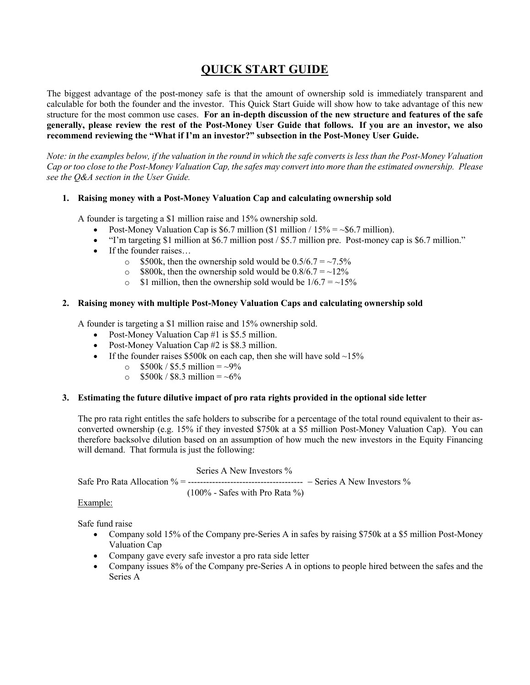# **QUICK START GUIDE**

The biggest advantage of the post-money safe is that the amount of ownership sold is immediately transparent and calculable for both the founder and the investor. This Quick Start Guide will show how to take advantage of this new structure for the most common use cases. **For an in-depth discussion of the new structure and features of the safe generally, please review the rest of the Post-Money User Guide that follows. If you are an investor, we also recommend reviewing the "What if I'm an investor?" subsection in the Post-Money User Guide.**

*Note: in the examples below, if the valuation in the round in which the safe converts is less than the Post-Money Valuation Cap or too close to the Post-Money Valuation Cap, the safes may convert into more than the estimated ownership. Please see the Q&A section in the User Guide.*

# **1. Raising money with a Post-Money Valuation Cap and calculating ownership sold**

A founder is targeting a \$1 million raise and 15% ownership sold.

- Post-Money Valuation Cap is \$6.7 million (\$1 million /  $15\% = -\$6.7$  million).
- "I'm targeting \$1 million at \$6.7 million post / \$5.7 million pre. Post-money cap is \$6.7 million."
- If the founder raises...
	- $\circ$  \$500k, then the ownership sold would be  $0.5/6.7 = -7.5\%$
	- $\circ$  \$800k, then the ownership sold would be 0.8/6.7 = ~12%
	- $\circ$  \$1 million, then the ownership sold would be  $1/6.7 = -15\%$

#### **2. Raising money with multiple Post-Money Valuation Caps and calculating ownership sold**

A founder is targeting a \$1 million raise and 15% ownership sold.

- Post-Money Valuation Cap #1 is \$5.5 million.
- Post-Money Valuation Cap #2 is \$8.3 million.
- If the founder raises \$500k on each cap, then she will have sold  $\sim$ 15%
	- $\circ$  \$500k / \$5.5 million = ~9%
	- $\circ$  \$500k / \$8.3 million = ~6%

#### **3. Estimating the future dilutive impact of pro rata rights provided in the optional side letter**

The pro rata right entitles the safe holders to subscribe for a percentage of the total round equivalent to their asconverted ownership (e.g. 15% if they invested \$750k at a \$5 million Post-Money Valuation Cap). You can therefore backsolve dilution based on an assumption of how much the new investors in the Equity Financing will demand. That formula is just the following:

Series A New Investors %

Safe Pro Rata Allocation % = -------------------------------------- - Series A New Investors %

(100% - Safes with Pro Rata %)

#### Example:

Safe fund raise

- Company sold 15% of the Company pre-Series A in safes by raising \$750k at a \$5 million Post-Money Valuation Cap
- Company gave every safe investor a pro rata side letter
- Company issues 8% of the Company pre-Series A in options to people hired between the safes and the Series A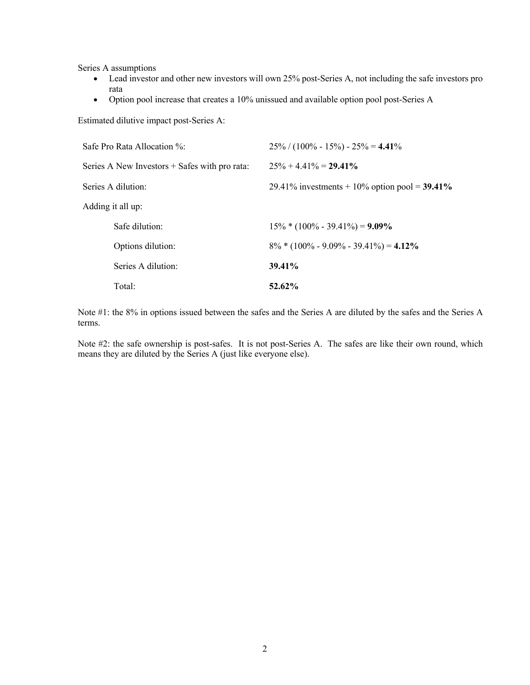Series A assumptions

- Lead investor and other new investors will own 25% post-Series A, not including the safe investors pro rata
- Option pool increase that creates a 10% unissued and available option pool post-Series A

Estimated dilutive impact post-Series A:

| Safe Pro Rata Allocation %:                   | $25\% / (100\% - 15\%) - 25\% = 4.41\%$          |
|-----------------------------------------------|--------------------------------------------------|
| Series A New Investors + Safes with pro rata: | $25\% + 4.41\% = 29.41\%$                        |
| Series A dilution:                            | 29.41% investments + 10% option pool = $39.41\%$ |
| Adding it all up:                             |                                                  |
| Safe dilution:                                | $15\% * (100\% - 39.41\%) = 9.09\%$              |
| Options dilution:                             | $8\% * (100\% - 9.09\% - 39.41\%) = 4.12\%$      |
| Series A dilution:                            | 39.41%                                           |
| Total:                                        | 52.62%                                           |

Note #1: the 8% in options issued between the safes and the Series A are diluted by the safes and the Series A terms.

Note #2: the safe ownership is post-safes. It is not post-Series A. The safes are like their own round, which means they are diluted by the Series A (just like everyone else).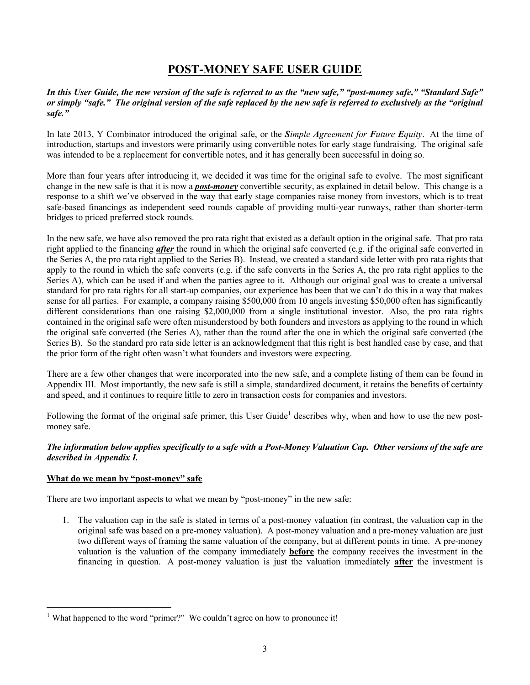# **POST-MONEY SAFE USER GUIDE**

*In this User Guide, the new version of the safe is referred to as the "new safe," "post-money safe," "Standard Safe" or simply "safe." The original version of the safe replaced by the new safe is referred to exclusively as the "original safe."*

In late 2013, Y Combinator introduced the original safe, or the *Simple Agreement for Future Equity*. At the time of introduction, startups and investors were primarily using convertible notes for early stage fundraising. The original safe was intended to be a replacement for convertible notes, and it has generally been successful in doing so.

More than four years after introducing it, we decided it was time for the original safe to evolve. The most significant change in the new safe is that it is now a *post-money* convertible security, as explained in detail below. This change is a response to a shift we've observed in the way that early stage companies raise money from investors, which is to treat safe-based financings as independent seed rounds capable of providing multi-year runways, rather than shorter-term bridges to priced preferred stock rounds.

In the new safe, we have also removed the pro rata right that existed as a default option in the original safe. That pro rata right applied to the financing *after* the round in which the original safe converted (e.g. if the original safe converted in the Series A, the pro rata right applied to the Series B). Instead, we created a standard side letter with pro rata rights that apply to the round in which the safe converts (e.g. if the safe converts in the Series A, the pro rata right applies to the Series A), which can be used if and when the parties agree to it. Although our original goal was to create a universal standard for pro rata rights for all start-up companies, our experience has been that we can't do this in a way that makes sense for all parties. For example, a company raising \$500,000 from 10 angels investing \$50,000 often has significantly different considerations than one raising \$2,000,000 from a single institutional investor. Also, the pro rata rights contained in the original safe were often misunderstood by both founders and investors as applying to the round in which the original safe converted (the Series A), rather than the round after the one in which the original safe converted (the Series B). So the standard pro rata side letter is an acknowledgment that this right is best handled case by case, and that the prior form of the right often wasn't what founders and investors were expecting.

There are a few other changes that were incorporated into the new safe, and a complete listing of them can be found in Appendix III. Most importantly, the new safe is still a simple, standardized document, it retains the benefits of certainty and speed, and it continues to require little to zero in transaction costs for companies and investors.

Following the format of the original safe primer, this User Guide<sup>1</sup> describes why, when and how to use the new postmoney safe.

# *The information below applies specifically to a safe with a Post-Money Valuation Cap. Other versions of the safe are described in Appendix I.*

# **What do we mean by "post-money" safe**

There are two important aspects to what we mean by "post-money" in the new safe:

1. The valuation cap in the safe is stated in terms of a post-money valuation (in contrast, the valuation cap in the original safe was based on a pre-money valuation). A post-money valuation and a pre-money valuation are just two different ways of framing the same valuation of the company, but at different points in time. A pre-money valuation is the valuation of the company immediately **before** the company receives the investment in the financing in question. A post-money valuation is just the valuation immediately **after** the investment is

<sup>&</sup>lt;sup>1</sup> What happened to the word "primer?" We couldn't agree on how to pronounce it!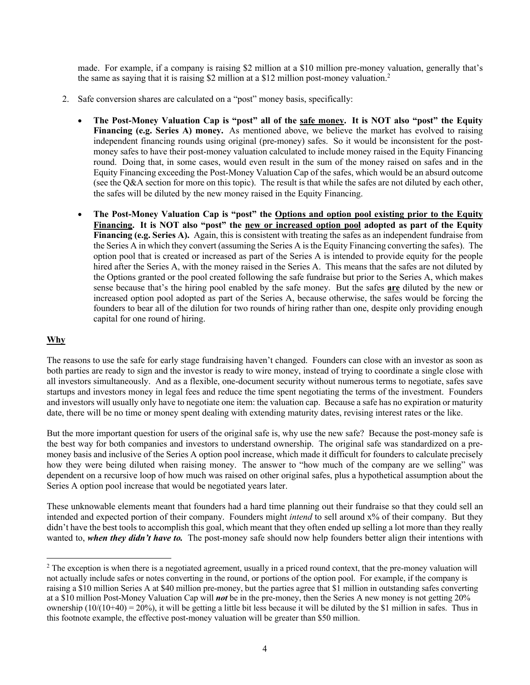made. For example, if a company is raising \$2 million at a \$10 million pre-money valuation, generally that's the same as saying that it is raising \$2 million at a \$12 million post-money valuation.<sup>2</sup>

- 2. Safe conversion shares are calculated on a "post" money basis, specifically:
	- **The Post-Money Valuation Cap is "post" all of the safe money. It is NOT also "post" the Equity Financing (e.g. Series A) money.** As mentioned above, we believe the market has evolved to raising independent financing rounds using original (pre-money) safes. So it would be inconsistent for the postmoney safes to have their post-money valuation calculated to include money raised in the Equity Financing round. Doing that, in some cases, would even result in the sum of the money raised on safes and in the Equity Financing exceeding the Post-Money Valuation Cap of the safes, which would be an absurd outcome (see the Q&A section for more on this topic). The result is that while the safes are not diluted by each other, the safes will be diluted by the new money raised in the Equity Financing.
	- **The Post-Money Valuation Cap is "post" the Options and option pool existing prior to the Equity Financing. It is NOT also "post" the new or increased option pool adopted as part of the Equity Financing (e.g. Series A).** Again, this is consistent with treating the safes as an independent fundraise from the Series A in which they convert (assuming the Series A is the Equity Financing converting the safes). The option pool that is created or increased as part of the Series A is intended to provide equity for the people hired after the Series A, with the money raised in the Series A. This means that the safes are not diluted by the Options granted or the pool created following the safe fundraise but prior to the Series A, which makes sense because that's the hiring pool enabled by the safe money. But the safes **are** diluted by the new or increased option pool adopted as part of the Series A, because otherwise, the safes would be forcing the founders to bear all of the dilution for two rounds of hiring rather than one, despite only providing enough capital for one round of hiring.

# **Why**

The reasons to use the safe for early stage fundraising haven't changed. Founders can close with an investor as soon as both parties are ready to sign and the investor is ready to wire money, instead of trying to coordinate a single close with all investors simultaneously. And as a flexible, one-document security without numerous terms to negotiate, safes save startups and investors money in legal fees and reduce the time spent negotiating the terms of the investment. Founders and investors will usually only have to negotiate one item: the valuation cap. Because a safe has no expiration or maturity date, there will be no time or money spent dealing with extending maturity dates, revising interest rates or the like.

But the more important question for users of the original safe is, why use the new safe? Because the post-money safe is the best way for both companies and investors to understand ownership. The original safe was standardized on a premoney basis and inclusive of the Series A option pool increase, which made it difficult for founders to calculate precisely how they were being diluted when raising money. The answer to "how much of the company are we selling" was dependent on a recursive loop of how much was raised on other original safes, plus a hypothetical assumption about the Series A option pool increase that would be negotiated years later.

These unknowable elements meant that founders had a hard time planning out their fundraise so that they could sell an intended and expected portion of their company. Founders might *intend* to sell around x% of their company. But they didn't have the best tools to accomplish this goal, which meant that they often ended up selling a lot more than they really wanted to, *when they didn't have to.* The post-money safe should now help founders better align their intentions with

 $2$  The exception is when there is a negotiated agreement, usually in a priced round context, that the pre-money valuation will not actually include safes or notes converting in the round, or portions of the option pool. For example, if the company is raising a \$10 million Series A at \$40 million pre-money, but the parties agree that \$1 million in outstanding safes converting at a \$10 million Post-Money Valuation Cap will *not* be in the pre-money, then the Series A new money is not getting 20% ownership  $(10/(10+40) = 20\%)$ , it will be getting a little bit less because it will be diluted by the \$1 million in safes. Thus in this footnote example, the effective post-money valuation will be greater than \$50 million.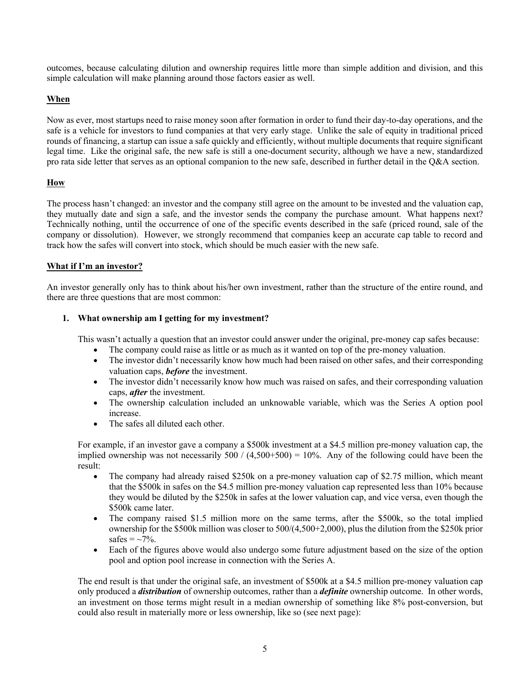outcomes, because calculating dilution and ownership requires little more than simple addition and division, and this simple calculation will make planning around those factors easier as well.

# **When**

Now as ever, most startups need to raise money soon after formation in order to fund their day-to-day operations, and the safe is a vehicle for investors to fund companies at that very early stage. Unlike the sale of equity in traditional priced rounds of financing, a startup can issue a safe quickly and efficiently, without multiple documents that require significant legal time. Like the original safe, the new safe is still a one-document security, although we have a new, standardized pro rata side letter that serves as an optional companion to the new safe, described in further detail in the Q&A section.

# **How**

The process hasn't changed: an investor and the company still agree on the amount to be invested and the valuation cap, they mutually date and sign a safe, and the investor sends the company the purchase amount. What happens next? Technically nothing, until the occurrence of one of the specific events described in the safe (priced round, sale of the company or dissolution). However, we strongly recommend that companies keep an accurate cap table to record and track how the safes will convert into stock, which should be much easier with the new safe.

# **What if I'm an investor?**

An investor generally only has to think about his/her own investment, rather than the structure of the entire round, and there are three questions that are most common:

# **1. What ownership am I getting for my investment?**

This wasn't actually a question that an investor could answer under the original, pre-money cap safes because:

- The company could raise as little or as much as it wanted on top of the pre-money valuation.
- The investor didn't necessarily know how much had been raised on other safes, and their corresponding valuation caps, *before* the investment.
- The investor didn't necessarily know how much was raised on safes, and their corresponding valuation caps, *after* the investment.
- The ownership calculation included an unknowable variable, which was the Series A option pool increase.
- The safes all diluted each other.

For example, if an investor gave a company a \$500k investment at a \$4.5 million pre-money valuation cap, the implied ownership was not necessarily  $500 / (4,500+500) = 10\%$ . Any of the following could have been the result:

- The company had already raised \$250k on a pre-money valuation cap of \$2.75 million, which meant that the \$500k in safes on the \$4.5 million pre-money valuation cap represented less than 10% because they would be diluted by the \$250k in safes at the lower valuation cap, and vice versa, even though the \$500k came later.
- The company raised \$1.5 million more on the same terms, after the \$500k, so the total implied ownership for the \$500k million was closer to 500/(4,500+2,000), plus the dilution from the \$250k prior safes  $=$   $\sim$ 7%.
- Each of the figures above would also undergo some future adjustment based on the size of the option pool and option pool increase in connection with the Series A.

The end result is that under the original safe, an investment of \$500k at a \$4.5 million pre-money valuation cap only produced a *distribution* of ownership outcomes, rather than a *definite* ownership outcome. In other words, an investment on those terms might result in a median ownership of something like 8% post-conversion, but could also result in materially more or less ownership, like so (see next page):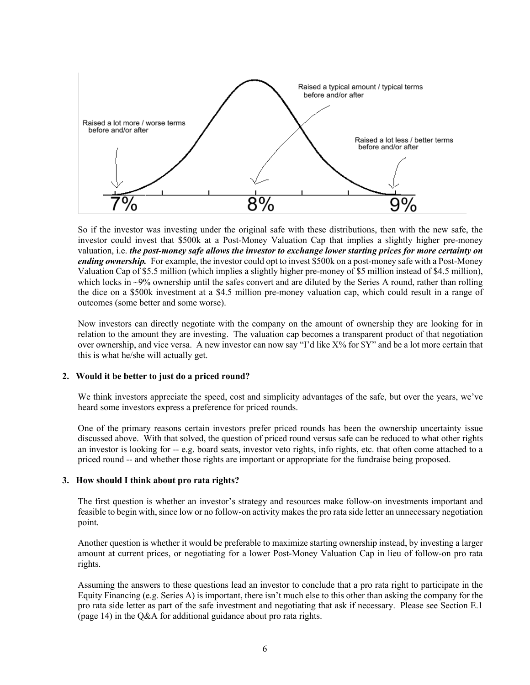

So if the investor was investing under the original safe with these distributions, then with the new safe, the investor could invest that \$500k at a Post-Money Valuation Cap that implies a slightly higher pre-money valuation, i.e. *the post-money safe allows the investor to exchange lower starting prices for more certainty on ending ownership.* For example, the investor could opt to invest \$500k on a post-money safe with a Post-Money Valuation Cap of \$5.5 million (which implies a slightly higher pre-money of \$5 million instead of \$4.5 million), which locks in  $\sim$ 9% ownership until the safes convert and are diluted by the Series A round, rather than rolling the dice on a \$500k investment at a \$4.5 million pre-money valuation cap, which could result in a range of outcomes (some better and some worse).

Now investors can directly negotiate with the company on the amount of ownership they are looking for in relation to the amount they are investing. The valuation cap becomes a transparent product of that negotiation over ownership, and vice versa. A new investor can now say "I'd like X% for \$Y" and be a lot more certain that this is what he/she will actually get.

#### **2. Would it be better to just do a priced round?**

We think investors appreciate the speed, cost and simplicity advantages of the safe, but over the years, we've heard some investors express a preference for priced rounds.

One of the primary reasons certain investors prefer priced rounds has been the ownership uncertainty issue discussed above. With that solved, the question of priced round versus safe can be reduced to what other rights an investor is looking for -- e.g. board seats, investor veto rights, info rights, etc. that often come attached to a priced round -- and whether those rights are important or appropriate for the fundraise being proposed.

#### **3. How should I think about pro rata rights?**

The first question is whether an investor's strategy and resources make follow-on investments important and feasible to begin with, since low or no follow-on activity makes the pro rata side letter an unnecessary negotiation point.

Another question is whether it would be preferable to maximize starting ownership instead, by investing a larger amount at current prices, or negotiating for a lower Post-Money Valuation Cap in lieu of follow-on pro rata rights.

Assuming the answers to these questions lead an investor to conclude that a pro rata right to participate in the Equity Financing (e.g. Series A) is important, there isn't much else to this other than asking the company for the pro rata side letter as part of the safe investment and negotiating that ask if necessary. Please see Section E.1 (page 14) in the Q&A for additional guidance about pro rata rights.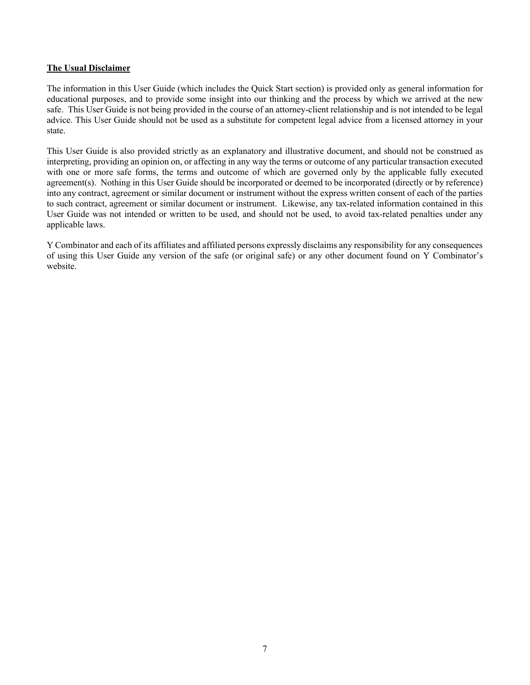#### **The Usual Disclaimer**

The information in this User Guide (which includes the Quick Start section) is provided only as general information for educational purposes, and to provide some insight into our thinking and the process by which we arrived at the new safe. This User Guide is not being provided in the course of an attorney-client relationship and is not intended to be legal advice. This User Guide should not be used as a substitute for competent legal advice from a licensed attorney in your state.

This User Guide is also provided strictly as an explanatory and illustrative document, and should not be construed as interpreting, providing an opinion on, or affecting in any way the terms or outcome of any particular transaction executed with one or more safe forms, the terms and outcome of which are governed only by the applicable fully executed agreement(s). Nothing in this User Guide should be incorporated or deemed to be incorporated (directly or by reference) into any contract, agreement or similar document or instrument without the express written consent of each of the parties to such contract, agreement or similar document or instrument. Likewise, any tax-related information contained in this User Guide was not intended or written to be used, and should not be used, to avoid tax-related penalties under any applicable laws.

Y Combinator and each of its affiliates and affiliated persons expressly disclaims any responsibility for any consequences of using this User Guide any version of the safe (or original safe) or any other document found on Y Combinator's website.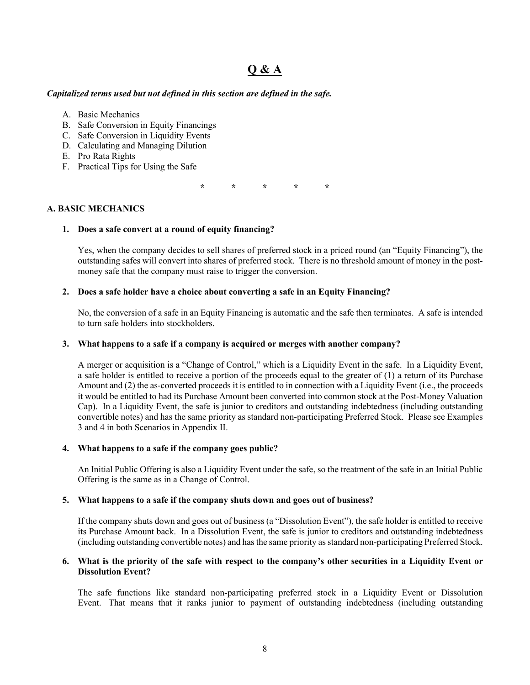# **Q & A**

#### *Capitalized terms used but not defined in this section are defined in the safe.*

- A. Basic Mechanics
- B. Safe Conversion in Equity Financings
- C. Safe Conversion in Liquidity Events
- D. Calculating and Managing Dilution
- E. Pro Rata Rights
- F. Practical Tips for Using the Safe

**\* \* \* \* \***

#### **A. BASIC MECHANICS**

#### **1. Does a safe convert at a round of equity financing?**

Yes, when the company decides to sell shares of preferred stock in a priced round (an "Equity Financing"), the outstanding safes will convert into shares of preferred stock. There is no threshold amount of money in the postmoney safe that the company must raise to trigger the conversion.

#### **2. Does a safe holder have a choice about converting a safe in an Equity Financing?**

No, the conversion of a safe in an Equity Financing is automatic and the safe then terminates. A safe is intended to turn safe holders into stockholders.

#### **3. What happens to a safe if a company is acquired or merges with another company?**

A merger or acquisition is a "Change of Control," which is a Liquidity Event in the safe. In a Liquidity Event, a safe holder is entitled to receive a portion of the proceeds equal to the greater of (1) a return of its Purchase Amount and (2) the as-converted proceeds it is entitled to in connection with a Liquidity Event (i.e., the proceeds it would be entitled to had its Purchase Amount been converted into common stock at the Post-Money Valuation Cap). In a Liquidity Event, the safe is junior to creditors and outstanding indebtedness (including outstanding convertible notes) and has the same priority as standard non-participating Preferred Stock. Please see Examples 3 and 4 in both Scenarios in Appendix II.

#### **4. What happens to a safe if the company goes public?**

An Initial Public Offering is also a Liquidity Event under the safe, so the treatment of the safe in an Initial Public Offering is the same as in a Change of Control.

#### **5. What happens to a safe if the company shuts down and goes out of business?**

If the company shuts down and goes out of business (a "Dissolution Event"), the safe holder is entitled to receive its Purchase Amount back. In a Dissolution Event, the safe is junior to creditors and outstanding indebtedness (including outstanding convertible notes) and has the same priority as standard non-participating Preferred Stock.

#### **6. What is the priority of the safe with respect to the company's other securities in a Liquidity Event or Dissolution Event?**

The safe functions like standard non-participating preferred stock in a Liquidity Event or Dissolution Event. That means that it ranks junior to payment of outstanding indebtedness (including outstanding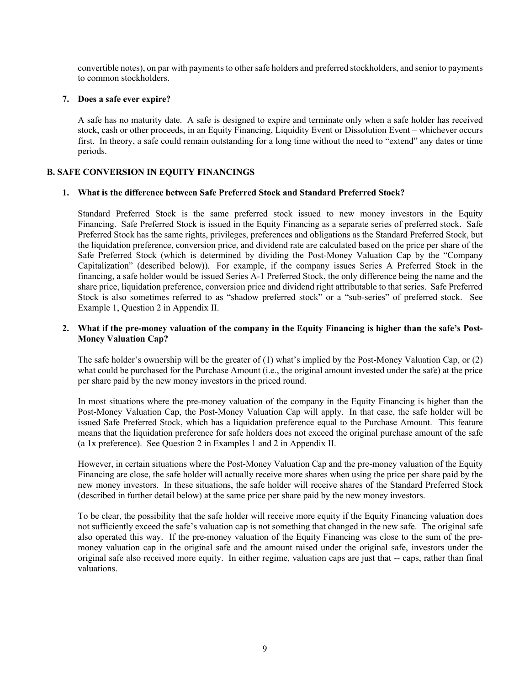convertible notes), on par with payments to other safe holders and preferred stockholders, and senior to payments to common stockholders.

# **7. Does a safe ever expire?**

A safe has no maturity date. A safe is designed to expire and terminate only when a safe holder has received stock, cash or other proceeds, in an Equity Financing, Liquidity Event or Dissolution Event – whichever occurs first. In theory, a safe could remain outstanding for a long time without the need to "extend" any dates or time periods.

# **B. SAFE CONVERSION IN EQUITY FINANCINGS**

#### **1. What is the difference between Safe Preferred Stock and Standard Preferred Stock?**

Standard Preferred Stock is the same preferred stock issued to new money investors in the Equity Financing. Safe Preferred Stock is issued in the Equity Financing as a separate series of preferred stock. Safe Preferred Stock has the same rights, privileges, preferences and obligations as the Standard Preferred Stock, but the liquidation preference, conversion price, and dividend rate are calculated based on the price per share of the Safe Preferred Stock (which is determined by dividing the Post-Money Valuation Cap by the "Company Capitalization" (described below)). For example, if the company issues Series A Preferred Stock in the financing, a safe holder would be issued Series A-1 Preferred Stock, the only difference being the name and the share price, liquidation preference, conversion price and dividend right attributable to that series. Safe Preferred Stock is also sometimes referred to as "shadow preferred stock" or a "sub-series" of preferred stock. See Example 1, Question 2 in Appendix II.

#### **2. What if the pre-money valuation of the company in the Equity Financing is higher than the safe's Post-Money Valuation Cap?**

The safe holder's ownership will be the greater of (1) what's implied by the Post-Money Valuation Cap, or (2) what could be purchased for the Purchase Amount (i.e., the original amount invested under the safe) at the price per share paid by the new money investors in the priced round.

In most situations where the pre-money valuation of the company in the Equity Financing is higher than the Post-Money Valuation Cap, the Post-Money Valuation Cap will apply. In that case, the safe holder will be issued Safe Preferred Stock, which has a liquidation preference equal to the Purchase Amount. This feature means that the liquidation preference for safe holders does not exceed the original purchase amount of the safe (a 1x preference). See Question 2 in Examples 1 and 2 in Appendix II.

However, in certain situations where the Post-Money Valuation Cap and the pre-money valuation of the Equity Financing are close, the safe holder will actually receive more shares when using the price per share paid by the new money investors. In these situations, the safe holder will receive shares of the Standard Preferred Stock (described in further detail below) at the same price per share paid by the new money investors.

To be clear, the possibility that the safe holder will receive more equity if the Equity Financing valuation does not sufficiently exceed the safe's valuation cap is not something that changed in the new safe. The original safe also operated this way. If the pre-money valuation of the Equity Financing was close to the sum of the premoney valuation cap in the original safe and the amount raised under the original safe, investors under the original safe also received more equity. In either regime, valuation caps are just that -- caps, rather than final valuations.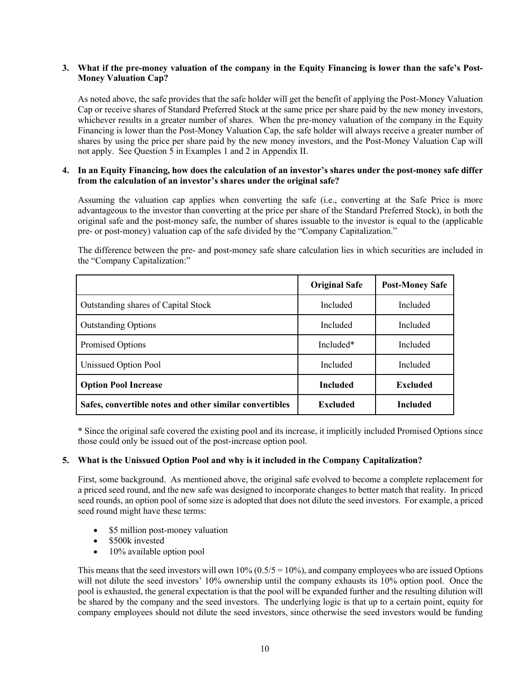### **3. What if the pre-money valuation of the company in the Equity Financing is lower than the safe's Post-Money Valuation Cap?**

As noted above, the safe provides that the safe holder will get the benefit of applying the Post-Money Valuation Cap or receive shares of Standard Preferred Stock at the same price per share paid by the new money investors, whichever results in a greater number of shares. When the pre-money valuation of the company in the Equity Financing is lower than the Post-Money Valuation Cap, the safe holder will always receive a greater number of shares by using the price per share paid by the new money investors, and the Post-Money Valuation Cap will not apply. See Question 5 in Examples 1 and 2 in Appendix II.

#### **4. In an Equity Financing, how does the calculation of an investor's shares under the post-money safe differ from the calculation of an investor's shares under the original safe?**

Assuming the valuation cap applies when converting the safe (i.e., converting at the Safe Price is more advantageous to the investor than converting at the price per share of the Standard Preferred Stock), in both the original safe and the post-money safe, the number of shares issuable to the investor is equal to the (applicable pre- or post-money) valuation cap of the safe divided by the "Company Capitalization."

The difference between the pre- and post-money safe share calculation lies in which securities are included in the "Company Capitalization:"

|                                                         | <b>Original Safe</b> | <b>Post-Money Safe</b> |
|---------------------------------------------------------|----------------------|------------------------|
| Outstanding shares of Capital Stock                     | Included             | Included               |
| <b>Outstanding Options</b>                              | Included             | Included               |
| Promised Options                                        | Included*            | Included               |
| Unissued Option Pool                                    | Included             | Included               |
| <b>Option Pool Increase</b>                             | <b>Included</b>      | <b>Excluded</b>        |
| Safes, convertible notes and other similar convertibles | <b>Excluded</b>      | <b>Included</b>        |

\* Since the original safe covered the existing pool and its increase, it implicitly included Promised Options since those could only be issued out of the post-increase option pool.

#### **5. What is the Unissued Option Pool and why is it included in the Company Capitalization?**

First, some background. As mentioned above, the original safe evolved to become a complete replacement for a priced seed round, and the new safe was designed to incorporate changes to better match that reality. In priced seed rounds, an option pool of some size is adopted that does not dilute the seed investors. For example, a priced seed round might have these terms:

- \$5 million post-money valuation
- \$500k invested
- 10% available option pool

This means that the seed investors will own  $10\%$  (0.5/5 = 10%), and company employees who are issued Options will not dilute the seed investors' 10% ownership until the company exhausts its 10% option pool. Once the pool is exhausted, the general expectation is that the pool will be expanded further and the resulting dilution will be shared by the company and the seed investors. The underlying logic is that up to a certain point, equity for company employees should not dilute the seed investors, since otherwise the seed investors would be funding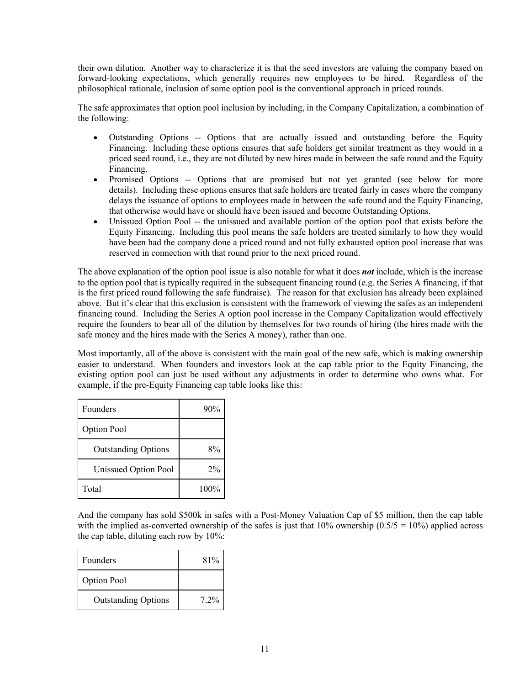their own dilution. Another way to characterize it is that the seed investors are valuing the company based on forward-looking expectations, which generally requires new employees to be hired. Regardless of the philosophical rationale, inclusion of some option pool is the conventional approach in priced rounds.

The safe approximates that option pool inclusion by including, in the Company Capitalization, a combination of the following:

- Outstanding Options -- Options that are actually issued and outstanding before the Equity Financing. Including these options ensures that safe holders get similar treatment as they would in a priced seed round, i.e., they are not diluted by new hires made in between the safe round and the Equity Financing.
- Promised Options -- Options that are promised but not yet granted (see below for more details). Including these options ensures that safe holders are treated fairly in cases where the company delays the issuance of options to employees made in between the safe round and the Equity Financing, that otherwise would have or should have been issued and become Outstanding Options.
- Unissued Option Pool -- the unissued and available portion of the option pool that exists before the Equity Financing. Including this pool means the safe holders are treated similarly to how they would have been had the company done a priced round and not fully exhausted option pool increase that was reserved in connection with that round prior to the next priced round.

The above explanation of the option pool issue is also notable for what it does *not* include, which is the increase to the option pool that is typically required in the subsequent financing round (e.g. the Series A financing, if that is the first priced round following the safe fundraise). The reason for that exclusion has already been explained above. But it's clear that this exclusion is consistent with the framework of viewing the safes as an independent financing round. Including the Series A option pool increase in the Company Capitalization would effectively require the founders to bear all of the dilution by themselves for two rounds of hiring (the hires made with the safe money and the hires made with the Series A money), rather than one.

Most importantly, all of the above is consistent with the main goal of the new safe, which is making ownership easier to understand. When founders and investors look at the cap table prior to the Equity Financing, the existing option pool can just be used without any adjustments in order to determine who owns what. For example, if the pre-Equity Financing cap table looks like this:

| Founders                   | 90%   |
|----------------------------|-------|
| <b>Option Pool</b>         |       |
| <b>Outstanding Options</b> | 8%    |
| Unissued Option Pool       | $2\%$ |
| Total                      | 100%  |

And the company has sold \$500k in safes with a Post-Money Valuation Cap of \$5 million, then the cap table with the implied as-converted ownership of the safes is just that  $10\%$  ownership (0.5/5 = 10%) applied across the cap table, diluting each row by 10%:

| Founders                   | 81%  |
|----------------------------|------|
| <b>Option Pool</b>         |      |
| <b>Outstanding Options</b> | 7.2% |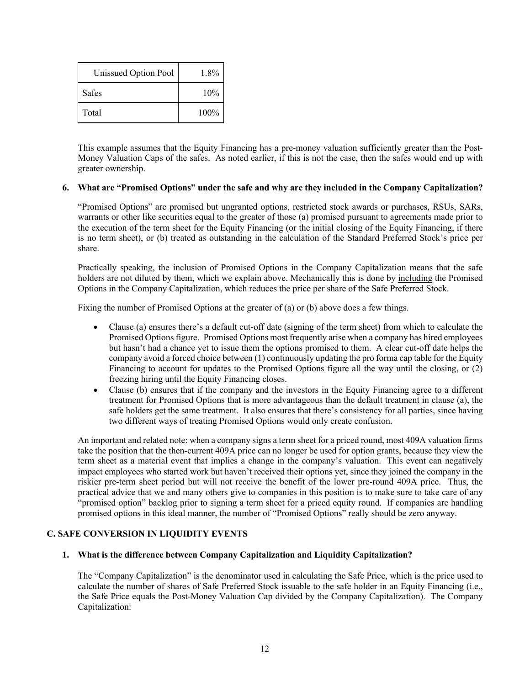| Unissued Option Pool | 1.8% |
|----------------------|------|
| <b>Safes</b>         | 10%  |
| Total                | 100% |

This example assumes that the Equity Financing has a pre-money valuation sufficiently greater than the Post-Money Valuation Caps of the safes. As noted earlier, if this is not the case, then the safes would end up with greater ownership.

#### **6. What are "Promised Options" under the safe and why are they included in the Company Capitalization?**

"Promised Options" are promised but ungranted options, restricted stock awards or purchases, RSUs, SARs, warrants or other like securities equal to the greater of those (a) promised pursuant to agreements made prior to the execution of the term sheet for the Equity Financing (or the initial closing of the Equity Financing, if there is no term sheet), or (b) treated as outstanding in the calculation of the Standard Preferred Stock's price per share.

Practically speaking, the inclusion of Promised Options in the Company Capitalization means that the safe holders are not diluted by them, which we explain above. Mechanically this is done by including the Promised Options in the Company Capitalization, which reduces the price per share of the Safe Preferred Stock.

Fixing the number of Promised Options at the greater of (a) or (b) above does a few things.

- Clause (a) ensures there's a default cut-off date (signing of the term sheet) from which to calculate the Promised Options figure. Promised Options most frequently arise when a company has hired employees but hasn't had a chance yet to issue them the options promised to them. A clear cut-off date helps the company avoid a forced choice between (1) continuously updating the pro forma cap table for the Equity Financing to account for updates to the Promised Options figure all the way until the closing, or (2) freezing hiring until the Equity Financing closes.
- Clause (b) ensures that if the company and the investors in the Equity Financing agree to a different treatment for Promised Options that is more advantageous than the default treatment in clause (a), the safe holders get the same treatment. It also ensures that there's consistency for all parties, since having two different ways of treating Promised Options would only create confusion.

An important and related note: when a company signs a term sheet for a priced round, most 409A valuation firms take the position that the then-current 409A price can no longer be used for option grants, because they view the term sheet as a material event that implies a change in the company's valuation. This event can negatively impact employees who started work but haven't received their options yet, since they joined the company in the riskier pre-term sheet period but will not receive the benefit of the lower pre-round 409A price. Thus, the practical advice that we and many others give to companies in this position is to make sure to take care of any "promised option" backlog prior to signing a term sheet for a priced equity round. If companies are handling promised options in this ideal manner, the number of "Promised Options" really should be zero anyway.

#### **C. SAFE CONVERSION IN LIQUIDITY EVENTS**

# **1. What is the difference between Company Capitalization and Liquidity Capitalization?**

The "Company Capitalization" is the denominator used in calculating the Safe Price, which is the price used to calculate the number of shares of Safe Preferred Stock issuable to the safe holder in an Equity Financing (i.e., the Safe Price equals the Post-Money Valuation Cap divided by the Company Capitalization). The Company Capitalization: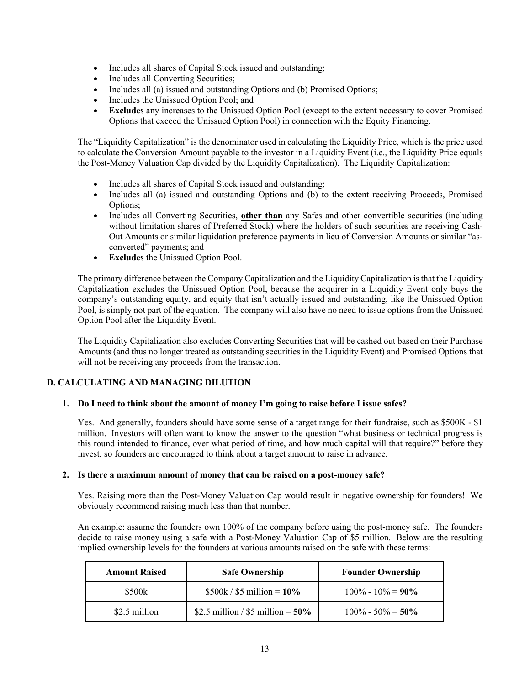- Includes all shares of Capital Stock issued and outstanding;
- Includes all Converting Securities;
- Includes all (a) issued and outstanding Options and (b) Promised Options;
- Includes the Unissued Option Pool; and
- **Excludes** any increases to the Unissued Option Pool (except to the extent necessary to cover Promised Options that exceed the Unissued Option Pool) in connection with the Equity Financing.

The "Liquidity Capitalization" is the denominator used in calculating the Liquidity Price, which is the price used to calculate the Conversion Amount payable to the investor in a Liquidity Event (i.e., the Liquidity Price equals the Post-Money Valuation Cap divided by the Liquidity Capitalization). The Liquidity Capitalization:

- Includes all shares of Capital Stock issued and outstanding;
- Includes all (a) issued and outstanding Options and (b) to the extent receiving Proceeds, Promised Options;
- Includes all Converting Securities, **other than** any Safes and other convertible securities (including without limitation shares of Preferred Stock) where the holders of such securities are receiving Cash-Out Amounts or similar liquidation preference payments in lieu of Conversion Amounts or similar "asconverted" payments; and
- **Excludes** the Unissued Option Pool.

The primary difference between the Company Capitalization and the Liquidity Capitalization is that the Liquidity Capitalization excludes the Unissued Option Pool, because the acquirer in a Liquidity Event only buys the company's outstanding equity, and equity that isn't actually issued and outstanding, like the Unissued Option Pool, is simply not part of the equation. The company will also have no need to issue options from the Unissued Option Pool after the Liquidity Event.

The Liquidity Capitalization also excludes Converting Securities that will be cashed out based on their Purchase Amounts (and thus no longer treated as outstanding securities in the Liquidity Event) and Promised Options that will not be receiving any proceeds from the transaction.

# **D. CALCULATING AND MANAGING DILUTION**

#### **1. Do I need to think about the amount of money I'm going to raise before I issue safes?**

Yes. And generally, founders should have some sense of a target range for their fundraise, such as \$500K - \$1 million. Investors will often want to know the answer to the question "what business or technical progress is this round intended to finance, over what period of time, and how much capital will that require?" before they invest, so founders are encouraged to think about a target amount to raise in advance.

#### **2. Is there a maximum amount of money that can be raised on a post-money safe?**

Yes. Raising more than the Post-Money Valuation Cap would result in negative ownership for founders! We obviously recommend raising much less than that number.

An example: assume the founders own 100% of the company before using the post-money safe. The founders decide to raise money using a safe with a Post-Money Valuation Cap of \$5 million. Below are the resulting implied ownership levels for the founders at various amounts raised on the safe with these terms:

| <b>Amount Raised</b> | <b>Safe Ownership</b>                | <b>Founder Ownership</b> |
|----------------------|--------------------------------------|--------------------------|
| \$500k               | $$500k / $5$ million = 10%           | $100\% - 10\% = 90\%$    |
| \$2.5 million        | \$2.5 million / \$5 million = $50\%$ | $100\% - 50\% = 50\%$    |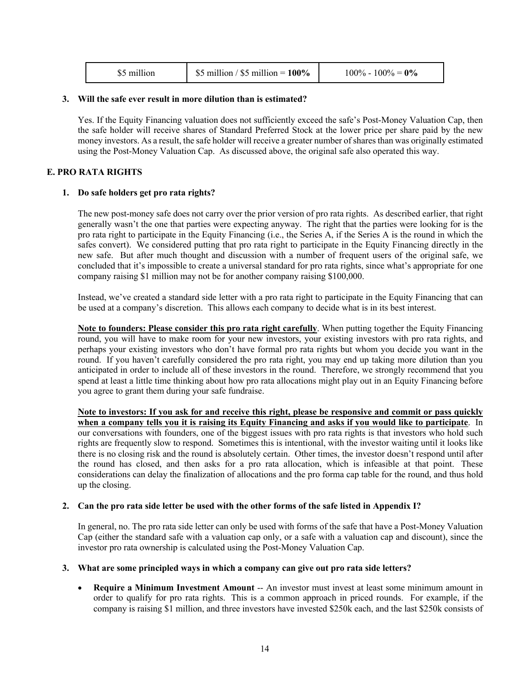| \$5 million | \$5 million / $$5$ million = $100\%$ | $100\% - 100\% = 0\%$ |
|-------------|--------------------------------------|-----------------------|
|-------------|--------------------------------------|-----------------------|

#### **3. Will the safe ever result in more dilution than is estimated?**

Yes. If the Equity Financing valuation does not sufficiently exceed the safe's Post-Money Valuation Cap, then the safe holder will receive shares of Standard Preferred Stock at the lower price per share paid by the new money investors. As a result, the safe holder will receive a greater number of shares than was originally estimated using the Post-Money Valuation Cap. As discussed above, the original safe also operated this way.

# **E. PRO RATA RIGHTS**

### **1. Do safe holders get pro rata rights?**

The new post-money safe does not carry over the prior version of pro rata rights. As described earlier, that right generally wasn't the one that parties were expecting anyway. The right that the parties were looking for is the pro rata right to participate in the Equity Financing (i.e., the Series A, if the Series A is the round in which the safes convert). We considered putting that pro rata right to participate in the Equity Financing directly in the new safe. But after much thought and discussion with a number of frequent users of the original safe, we concluded that it's impossible to create a universal standard for pro rata rights, since what's appropriate for one company raising \$1 million may not be for another company raising \$100,000.

Instead, we've created a standard side letter with a pro rata right to participate in the Equity Financing that can be used at a company's discretion. This allows each company to decide what is in its best interest.

**Note to founders: Please consider this pro rata right carefully**. When putting together the Equity Financing round, you will have to make room for your new investors, your existing investors with pro rata rights, and perhaps your existing investors who don't have formal pro rata rights but whom you decide you want in the round. If you haven't carefully considered the pro rata right, you may end up taking more dilution than you anticipated in order to include all of these investors in the round. Therefore, we strongly recommend that you spend at least a little time thinking about how pro rata allocations might play out in an Equity Financing before you agree to grant them during your safe fundraise.

**Note to investors: If you ask for and receive this right, please be responsive and commit or pass quickly when a company tells you it is raising its Equity Financing and asks if you would like to participate**. In our conversations with founders, one of the biggest issues with pro rata rights is that investors who hold such rights are frequently slow to respond. Sometimes this is intentional, with the investor waiting until it looks like there is no closing risk and the round is absolutely certain. Other times, the investor doesn't respond until after the round has closed, and then asks for a pro rata allocation, which is infeasible at that point. These considerations can delay the finalization of allocations and the pro forma cap table for the round, and thus hold up the closing.

#### **2. Can the pro rata side letter be used with the other forms of the safe listed in Appendix I?**

In general, no. The pro rata side letter can only be used with forms of the safe that have a Post-Money Valuation Cap (either the standard safe with a valuation cap only, or a safe with a valuation cap and discount), since the investor pro rata ownership is calculated using the Post-Money Valuation Cap.

#### **3. What are some principled ways in which a company can give out pro rata side letters?**

• **Require a Minimum Investment Amount** -- An investor must invest at least some minimum amount in order to qualify for pro rata rights. This is a common approach in priced rounds. For example, if the company is raising \$1 million, and three investors have invested \$250k each, and the last \$250k consists of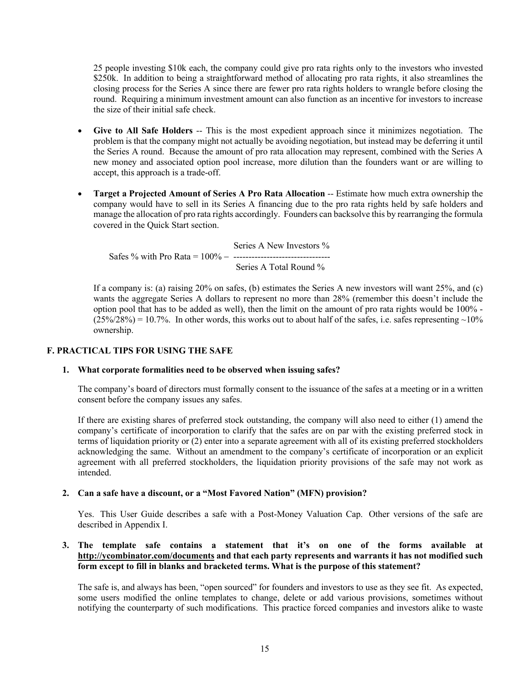25 people investing \$10k each, the company could give pro rata rights only to the investors who invested \$250k. In addition to being a straightforward method of allocating pro rata rights, it also streamlines the closing process for the Series A since there are fewer pro rata rights holders to wrangle before closing the round. Requiring a minimum investment amount can also function as an incentive for investors to increase the size of their initial safe check.

- **Give to All Safe Holders** -- This is the most expedient approach since it minimizes negotiation. The problem is that the company might not actually be avoiding negotiation, but instead may be deferring it until the Series A round. Because the amount of pro rata allocation may represent, combined with the Series A new money and associated option pool increase, more dilution than the founders want or are willing to accept, this approach is a trade-off.
- **Target a Projected Amount of Series A Pro Rata Allocation -- Estimate how much extra ownership the** company would have to sell in its Series A financing due to the pro rata rights held by safe holders and manage the allocation of pro rata rights accordingly. Founders can backsolve this by rearranging the formula covered in the Quick Start section.

Series A New Investors % Safes % with Pro Rata = 100% - -------------------------------- Series A Total Round %

If a company is: (a) raising 20% on safes, (b) estimates the Series A new investors will want 25%, and (c) wants the aggregate Series A dollars to represent no more than 28% (remember this doesn't include the option pool that has to be added as well), then the limit on the amount of pro rata rights would be 100% -  $(25\%/28\%) = 10.7\%$ . In other words, this works out to about half of the safes, i.e. safes representing ~10% ownership.

# **F. PRACTICAL TIPS FOR USING THE SAFE**

# **1. What corporate formalities need to be observed when issuing safes?**

The company's board of directors must formally consent to the issuance of the safes at a meeting or in a written consent before the company issues any safes.

If there are existing shares of preferred stock outstanding, the company will also need to either (1) amend the company's certificate of incorporation to clarify that the safes are on par with the existing preferred stock in terms of liquidation priority or (2) enter into a separate agreement with all of its existing preferred stockholders acknowledging the same. Without an amendment to the company's certificate of incorporation or an explicit agreement with all preferred stockholders, the liquidation priority provisions of the safe may not work as intended.

# **2. Can a safe have a discount, or a "Most Favored Nation" (MFN) provision?**

Yes. This User Guide describes a safe with a Post-Money Valuation Cap. Other versions of the safe are described in Appendix I.

## **3. The template safe contains a statement that it's on one of the forms available at http://ycombinator.com/documents and that each party represents and warrants it has not modified such form except to fill in blanks and bracketed terms. What is the purpose of this statement?**

The safe is, and always has been, "open sourced" for founders and investors to use as they see fit. As expected, some users modified the online templates to change, delete or add various provisions, sometimes without notifying the counterparty of such modifications. This practice forced companies and investors alike to waste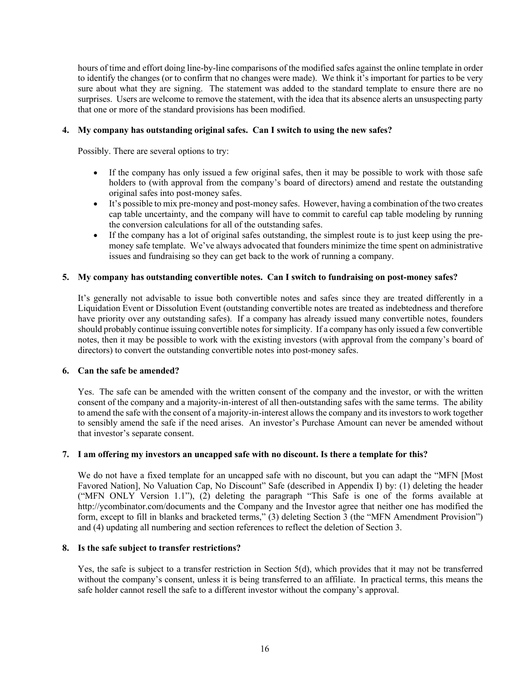hours of time and effort doing line-by-line comparisons of the modified safes against the online template in order to identify the changes (or to confirm that no changes were made). We think it's important for parties to be very sure about what they are signing. The statement was added to the standard template to ensure there are no surprises. Users are welcome to remove the statement, with the idea that its absence alerts an unsuspecting party that one or more of the standard provisions has been modified.

#### **4. My company has outstanding original safes. Can I switch to using the new safes?**

Possibly. There are several options to try:

- If the company has only issued a few original safes, then it may be possible to work with those safe holders to (with approval from the company's board of directors) amend and restate the outstanding original safes into post-money safes.
- It's possible to mix pre-money and post-money safes. However, having a combination of the two creates cap table uncertainty, and the company will have to commit to careful cap table modeling by running the conversion calculations for all of the outstanding safes.
- If the company has a lot of original safes outstanding, the simplest route is to just keep using the premoney safe template. We've always advocated that founders minimize the time spent on administrative issues and fundraising so they can get back to the work of running a company.

#### **5. My company has outstanding convertible notes. Can I switch to fundraising on post-money safes?**

It's generally not advisable to issue both convertible notes and safes since they are treated differently in a Liquidation Event or Dissolution Event (outstanding convertible notes are treated as indebtedness and therefore have priority over any outstanding safes). If a company has already issued many convertible notes, founders should probably continue issuing convertible notes for simplicity. If a company has only issued a few convertible notes, then it may be possible to work with the existing investors (with approval from the company's board of directors) to convert the outstanding convertible notes into post-money safes.

### **6. Can the safe be amended?**

Yes. The safe can be amended with the written consent of the company and the investor, or with the written consent of the company and a majority-in-interest of all then-outstanding safes with the same terms. The ability to amend the safe with the consent of a majority-in-interest allows the company and its investors to work together to sensibly amend the safe if the need arises. An investor's Purchase Amount can never be amended without that investor's separate consent.

#### **7. I am offering my investors an uncapped safe with no discount. Is there a template for this?**

We do not have a fixed template for an uncapped safe with no discount, but you can adapt the "MFN [Most] Favored Nation], No Valuation Cap, No Discount" Safe (described in Appendix I) by: (1) deleting the header ("MFN ONLY Version 1.1"), (2) deleting the paragraph "This Safe is one of the forms available at http://ycombinator.com/documents and the Company and the Investor agree that neither one has modified the form, except to fill in blanks and bracketed terms," (3) deleting Section 3 (the "MFN Amendment Provision") and (4) updating all numbering and section references to reflect the deletion of Section 3.

#### **8. Is the safe subject to transfer restrictions?**

Yes, the safe is subject to a transfer restriction in Section 5(d), which provides that it may not be transferred without the company's consent, unless it is being transferred to an affiliate. In practical terms, this means the safe holder cannot resell the safe to a different investor without the company's approval.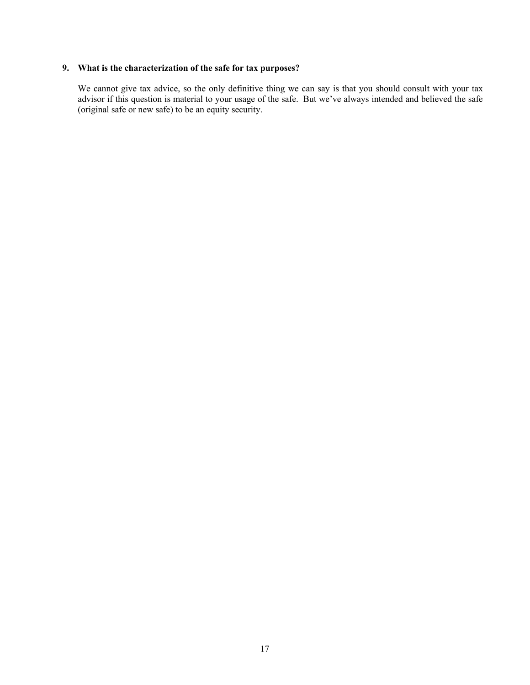# **9. What is the characterization of the safe for tax purposes?**

We cannot give tax advice, so the only definitive thing we can say is that you should consult with your tax advisor if this question is material to your usage of the safe. But we've always intended and believed the safe (original safe or new safe) to be an equity security.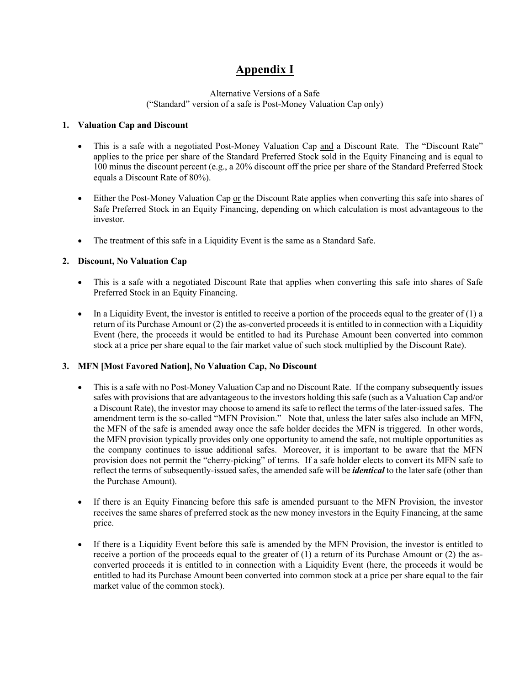# **Appendix I**

# Alternative Versions of a Safe

("Standard" version of a safe is Post-Money Valuation Cap only)

# **1. Valuation Cap and Discount**

- This is a safe with a negotiated Post-Money Valuation Cap and a Discount Rate. The "Discount Rate" applies to the price per share of the Standard Preferred Stock sold in the Equity Financing and is equal to 100 minus the discount percent (e.g., a 20% discount off the price per share of the Standard Preferred Stock equals a Discount Rate of 80%).
- Either the Post-Money Valuation Cap or the Discount Rate applies when converting this safe into shares of Safe Preferred Stock in an Equity Financing, depending on which calculation is most advantageous to the investor.
- The treatment of this safe in a Liquidity Event is the same as a Standard Safe.

# **2. Discount, No Valuation Cap**

- This is a safe with a negotiated Discount Rate that applies when converting this safe into shares of Safe Preferred Stock in an Equity Financing.
- In a Liquidity Event, the investor is entitled to receive a portion of the proceeds equal to the greater of  $(1)$  a return of its Purchase Amount or (2) the as-converted proceeds it is entitled to in connection with a Liquidity Event (here, the proceeds it would be entitled to had its Purchase Amount been converted into common stock at a price per share equal to the fair market value of such stock multiplied by the Discount Rate).

# **3. MFN [Most Favored Nation], No Valuation Cap, No Discount**

- This is a safe with no Post-Money Valuation Cap and no Discount Rate. If the company subsequently issues safes with provisions that are advantageous to the investors holding this safe (such as a Valuation Cap and/or a Discount Rate), the investor may choose to amend its safe to reflect the terms of the later-issued safes. The amendment term is the so-called "MFN Provision." Note that, unless the later safes also include an MFN, the MFN of the safe is amended away once the safe holder decides the MFN is triggered. In other words, the MFN provision typically provides only one opportunity to amend the safe, not multiple opportunities as the company continues to issue additional safes. Moreover, it is important to be aware that the MFN provision does not permit the "cherry-picking" of terms. If a safe holder elects to convert its MFN safe to reflect the terms of subsequently-issued safes, the amended safe will be *identical* to the later safe (other than the Purchase Amount).
- If there is an Equity Financing before this safe is amended pursuant to the MFN Provision, the investor receives the same shares of preferred stock as the new money investors in the Equity Financing, at the same price.
- If there is a Liquidity Event before this safe is amended by the MFN Provision, the investor is entitled to receive a portion of the proceeds equal to the greater of (1) a return of its Purchase Amount or (2) the asconverted proceeds it is entitled to in connection with a Liquidity Event (here, the proceeds it would be entitled to had its Purchase Amount been converted into common stock at a price per share equal to the fair market value of the common stock).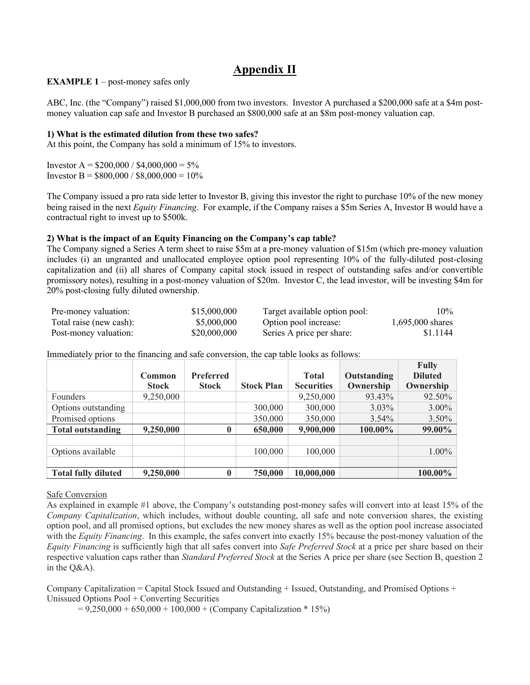# **Appendix II**

# **EXAMPLE 1** – post-money safes only

ABC, Inc. (the "Company") raised \$1,000,000 from two investors. Investor A purchased a \$200,000 safe at a \$4m postmoney valuation cap safe and Investor B purchased an \$800,000 safe at an \$8m post-money valuation cap.

#### **1) What is the estimated dilution from these two safes?**

At this point, the Company has sold a minimum of 15% to investors.

Investor A =  $$200,000 / $4,000,000 = 5\%$ Investor B =  $$800,000 / $8,000,000 = 10\%$ 

The Company issued a pro rata side letter to Investor B, giving this investor the right to purchase 10% of the new money being raised in the next *Equity Financing*. For example, if the Company raises a \$5m Series A, Investor B would have a contractual right to invest up to \$500k.

# **2) What is the impact of an Equity Financing on the Company's cap table?**

The Company signed a Series A term sheet to raise \$5m at a pre-money valuation of \$15m (which pre-money valuation includes (i) an ungranted and unallocated employee option pool representing 10% of the fully-diluted post-closing capitalization and (ii) all shares of Company capital stock issued in respect of outstanding safes and/or convertible promissory notes), resulting in a post-money valuation of \$20m. Investor C, the lead investor, will be investing \$4m for 20% post-closing fully diluted ownership.

| Pre-money valuation:    | \$15,000,000 | Target available option pool: | 10%              |
|-------------------------|--------------|-------------------------------|------------------|
| Total raise (new cash): | \$5,000,000  | Option pool increase:         | 1,695,000 shares |
| Post-money valuation:   | \$20,000,000 | Series A price per share:     | \$1.1144         |

Immediately prior to the financing and safe conversion, the cap table looks as follows:

|                            |               |                  |                   |                   |                    | <b>Fully</b>   |
|----------------------------|---------------|------------------|-------------------|-------------------|--------------------|----------------|
|                            | <b>Common</b> | <b>Preferred</b> |                   | <b>Total</b>      | <b>Outstanding</b> | <b>Diluted</b> |
|                            | <b>Stock</b>  | <b>Stock</b>     | <b>Stock Plan</b> | <b>Securities</b> | Ownership          | Ownership      |
| <b>Founders</b>            | 9,250,000     |                  |                   | 9,250,000         | 93.43%             | 92.50%         |
| Options outstanding        |               |                  | 300,000           | 300,000           | $3.03\%$           | $3.00\%$       |
| Promised options           |               |                  | 350,000           | 350,000           | $3.54\%$           | $3.50\%$       |
| <b>Total outstanding</b>   | 9,250,000     |                  | 650,000           | 9,900,000         | 100.00%            | 99.00%         |
|                            |               |                  |                   |                   |                    |                |
| Options available          |               |                  | 100,000           | 100,000           |                    | $1.00\%$       |
|                            |               |                  |                   |                   |                    |                |
| <b>Total fully diluted</b> | 9,250,000     |                  | 750,000           | 10,000,000        |                    | $100.00\%$     |

#### Safe Conversion

As explained in example #1 above, the Company's outstanding post-money safes will convert into at least 15% of the *Company Capitalization*, which includes, without double counting, all safe and note conversion shares, the existing option pool, and all promised options, but excludes the new money shares as well as the option pool increase associated with the *Equity Financing*. In this example, the safes convert into exactly 15% because the post-money valuation of the *Equity Financing* is sufficiently high that all safes convert into *Safe Preferred Stock* at a price per share based on their respective valuation caps rather than *Standard Preferred Stock* at the Series A price per share (see Section B, question 2 in the Q&A).

Company Capitalization = Capital Stock Issued and Outstanding + Issued, Outstanding, and Promised Options + Unissued Options Pool + Converting Securities

 $= 9,250,000 + 650,000 + 100,000 + (Comparing Capitalization * 15%)$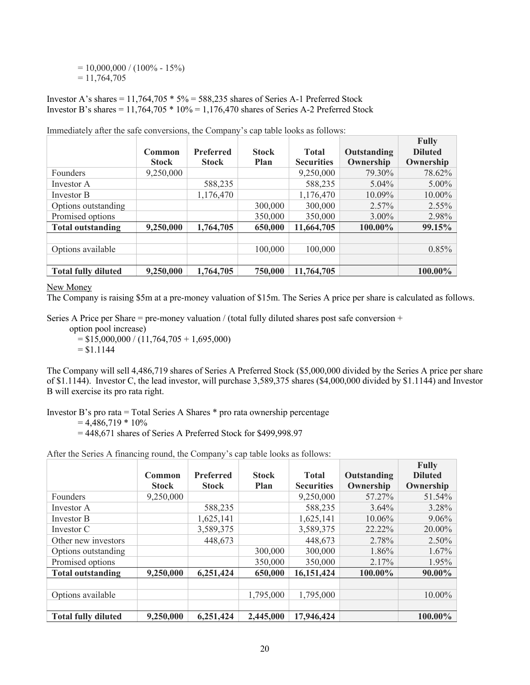$= 10,000,000 / (100\% - 15\%)$  $= 11,764,705$ 

Investor A's shares =  $11,764,705 * 5\% = 588,235$  shares of Series A-1 Preferred Stock Investor B's shares =  $11,764,705 * 10\% = 1,176,470$  shares of Series A-2 Preferred Stock

|                            | Common       | <b>Preferred</b> | <b>Stock</b> | <b>Total</b>      | <b>Outstanding</b> | <b>Fully</b><br><b>Diluted</b> |
|----------------------------|--------------|------------------|--------------|-------------------|--------------------|--------------------------------|
|                            | <b>Stock</b> | <b>Stock</b>     | Plan         | <b>Securities</b> | Ownership          | Ownership                      |
| <b>Founders</b>            | 9,250,000    |                  |              | 9,250,000         | 79.30%             | 78.62%                         |
| Investor A                 |              | 588,235          |              | 588,235           | $5.04\%$           | 5.00%                          |
| Investor B                 |              | 1,176,470        |              | 1,176,470         | 10.09%             | 10.00%                         |
| Options outstanding        |              |                  | 300,000      | 300,000           | $2.57\%$           | 2.55%                          |
| Promised options           |              |                  | 350,000      | 350,000           | $3.00\%$           | 2.98%                          |
| <b>Total outstanding</b>   | 9,250,000    | 1,764,705        | 650,000      | 11,664,705        | 100.00%            | 99.15%                         |
|                            |              |                  |              |                   |                    |                                |
| Options available          |              |                  | 100,000      | 100,000           |                    | 0.85%                          |
|                            |              |                  |              |                   |                    |                                |
| <b>Total fully diluted</b> | 9,250,000    | 1,764,705        | 750,000      | 11,764,705        |                    | $100.00\%$                     |

Immediately after the safe conversions, the Company's cap table looks as follows:

#### New Money

The Company is raising \$5m at a pre-money valuation of \$15m. The Series A price per share is calculated as follows.

Series A Price per Share = pre-money valuation / (total fully diluted shares post safe conversion +

option pool increase)

 $= $15,000,000 / (11,764,705 + 1,695,000)$ 

 $= $1.1144$ 

The Company will sell 4,486,719 shares of Series A Preferred Stock (\$5,000,000 divided by the Series A price per share of \$1.1144). Investor C, the lead investor, will purchase 3,589,375 shares (\$4,000,000 divided by \$1.1144) and Investor B will exercise its pro rata right.

Investor B's pro rata = Total Series A Shares \* pro rata ownership percentage

 $= 4,486,719 * 10\%$ 

= 448,671 shares of Series A Preferred Stock for \$499,998.97

After the Series A financing round, the Company's cap table looks as follows:

|                            |              |                  |              |                   |             | <b>Fully</b>   |
|----------------------------|--------------|------------------|--------------|-------------------|-------------|----------------|
|                            | Common       | <b>Preferred</b> | <b>Stock</b> | <b>Total</b>      | Outstanding | <b>Diluted</b> |
|                            | <b>Stock</b> | <b>Stock</b>     | Plan         | <b>Securities</b> | Ownership   | Ownership      |
| Founders                   | 9,250,000    |                  |              | 9,250,000         | 57.27%      | 51.54%         |
| Investor A                 |              | 588,235          |              | 588,235           | $3.64\%$    | 3.28%          |
| Investor B                 |              | 1,625,141        |              | 1,625,141         | $10.06\%$   | 9.06%          |
| Investor C                 |              | 3,589,375        |              | 3,589,375         | 22.22%      | 20.00%         |
| Other new investors        |              | 448,673          |              | 448,673           | 2.78%       | 2.50%          |
| Options outstanding        |              |                  | 300,000      | 300,000           | 1.86%       | $1.67\%$       |
| Promised options           |              |                  | 350,000      | 350,000           | 2.17%       | 1.95%          |
| <b>Total outstanding</b>   | 9,250,000    | 6,251,424        | 650,000      | 16,151,424        | 100.00%     | 90.00%         |
|                            |              |                  |              |                   |             |                |
| Options available          |              |                  | 1,795,000    | 1,795,000         |             | 10.00%         |
|                            |              |                  |              |                   |             |                |
| <b>Total fully diluted</b> | 9,250,000    | 6,251,424        | 2,445,000    | 17,946,424        |             | 100.00%        |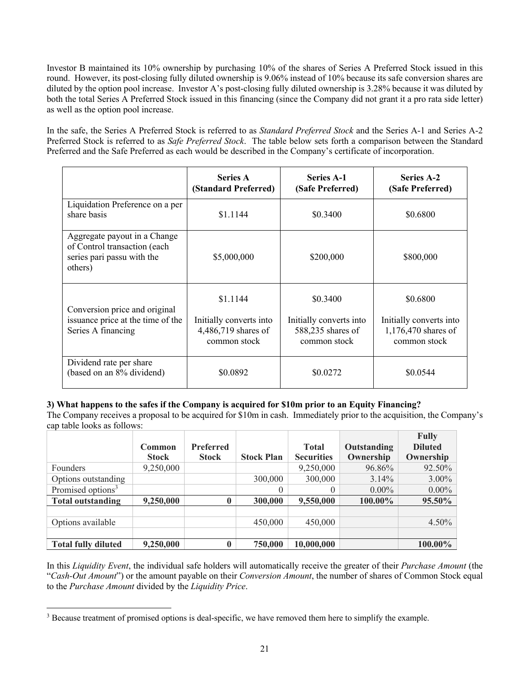Investor B maintained its 10% ownership by purchasing 10% of the shares of Series A Preferred Stock issued in this round. However, its post-closing fully diluted ownership is 9.06% instead of 10% because its safe conversion shares are diluted by the option pool increase. Investor A's post-closing fully diluted ownership is 3.28% because it was diluted by both the total Series A Preferred Stock issued in this financing (since the Company did not grant it a pro rata side letter) as well as the option pool increase.

In the safe, the Series A Preferred Stock is referred to as *Standard Preferred Stock* and the Series A-1 and Series A-2 Preferred Stock is referred to as *Safe Preferred Stock*. The table below sets forth a comparison between the Standard Preferred and the Safe Preferred as each would be described in the Company's certificate of incorporation.

|                                                                                                       | <b>Series A</b><br>(Standard Preferred)                                    | <b>Series A-1</b><br>(Safe Preferred)                                    | Series A-2<br>(Safe Preferred)                                             |
|-------------------------------------------------------------------------------------------------------|----------------------------------------------------------------------------|--------------------------------------------------------------------------|----------------------------------------------------------------------------|
| Liquidation Preference on a per<br>share basis                                                        | \$1.1144                                                                   | \$0.3400                                                                 | \$0.6800                                                                   |
| Aggregate payout in a Change<br>of Control transaction (each<br>series pari passu with the<br>others) | \$5,000,000                                                                | \$200,000                                                                | \$800,000                                                                  |
| Conversion price and original<br>issuance price at the time of the<br>Series A financing              | \$1.1144<br>Initially converts into<br>4,486,719 shares of<br>common stock | \$0.3400<br>Initially converts into<br>588,235 shares of<br>common stock | \$0.6800<br>Initially converts into<br>1,176,470 shares of<br>common stock |
| Dividend rate per share<br>(based on an 8% dividend)                                                  | \$0.0892                                                                   | \$0.0272                                                                 | \$0.0544                                                                   |

# **3) What happens to the safes if the Company is acquired for \$10m prior to an Equity Financing?**

The Company receives a proposal to be acquired for \$10m in cash. Immediately prior to the acquisition, the Company's cap table looks as follows:

|                               |               |              |                   |                   |             | <b>Fully</b>   |
|-------------------------------|---------------|--------------|-------------------|-------------------|-------------|----------------|
|                               | <b>Common</b> | Preferred    |                   | <b>Total</b>      | Outstanding | <b>Diluted</b> |
|                               | <b>Stock</b>  | <b>Stock</b> | <b>Stock Plan</b> | <b>Securities</b> | Ownership   | Ownership      |
| <b>Founders</b>               | 9,250,000     |              |                   | 9,250,000         | 96.86%      | 92.50%         |
| Options outstanding           |               |              | 300,000           | 300,000           | 3.14%       | 3.00%          |
| Promised options <sup>3</sup> |               |              | $\theta$          | 0                 | $0.00\%$    | $0.00\%$       |
| <b>Total outstanding</b>      | 9,250,000     | 0            | 300,000           | 9,550,000         | 100.00%     | 95.50%         |
|                               |               |              |                   |                   |             |                |
| Options available             |               |              | 450,000           | 450,000           |             | $4.50\%$       |
|                               |               |              |                   |                   |             |                |
| <b>Total fully diluted</b>    | 9,250,000     |              | 750,000           | 10,000,000        |             | 100.00%        |

In this *Liquidity Event*, the individual safe holders will automatically receive the greater of their *Purchase Amount* (the "*Cash-Out Amount*") or the amount payable on their *Conversion Amount*, the number of shares of Common Stock equal to the *Purchase Amount* divided by the *Liquidity Price*.

<sup>&</sup>lt;sup>3</sup> Because treatment of promised options is deal-specific, we have removed them here to simplify the example.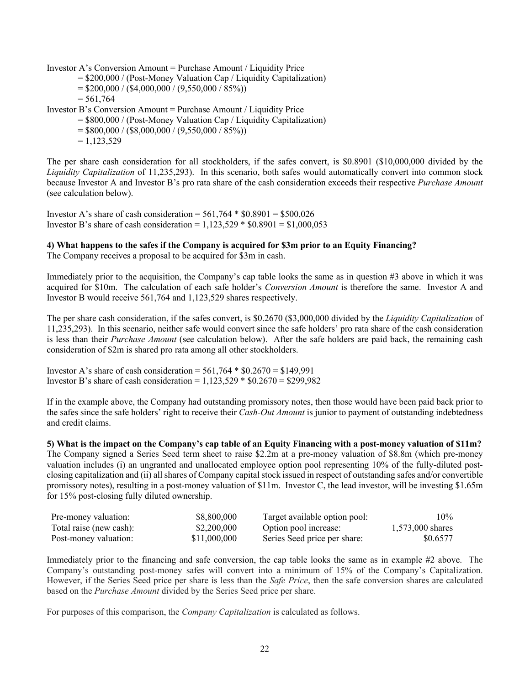Investor A's Conversion Amount = Purchase Amount / Liquidity Price

- = \$200,000 / (Post-Money Valuation Cap / Liquidity Capitalization)
- $=$  \$200,000 / (\$4,000,000 / (9,550,000 / 85%))
- $= 561,764$

Investor B's Conversion Amount = Purchase Amount / Liquidity Price

- = \$800,000 / (Post-Money Valuation Cap / Liquidity Capitalization)
- $=$  \$800,000 / (\$8,000,000 / (9,550,000 / 85%))
- $= 1,123,529$

The per share cash consideration for all stockholders, if the safes convert, is \$0.8901 (\$10,000,000 divided by the *Liquidity Capitalization* of 11,235,293). In this scenario, both safes would automatically convert into common stock because Investor A and Investor B's pro rata share of the cash consideration exceeds their respective *Purchase Amount* (see calculation below).

Investor A's share of cash consideration =  $561,764 * $0.8901 = $500,026$ Investor B's share of cash consideration =  $1,123,529$  \* \$0.8901 = \$1,000,053

# **4) What happens to the safes if the Company is acquired for \$3m prior to an Equity Financing?**

The Company receives a proposal to be acquired for \$3m in cash.

Immediately prior to the acquisition, the Company's cap table looks the same as in question #3 above in which it was acquired for \$10m. The calculation of each safe holder's *Conversion Amount* is therefore the same. Investor A and Investor B would receive 561,764 and 1,123,529 shares respectively.

The per share cash consideration, if the safes convert, is \$0.2670 (\$3,000,000 divided by the *Liquidity Capitalization* of 11,235,293). In this scenario, neither safe would convert since the safe holders' pro rata share of the cash consideration is less than their *Purchase Amount* (see calculation below). After the safe holders are paid back, the remaining cash consideration of \$2m is shared pro rata among all other stockholders.

Investor A's share of cash consideration =  $561,764 * $0.2670 = $149,991$ Investor B's share of cash consideration =  $1,123,529$  \* \$0.2670 = \$299,982

If in the example above, the Company had outstanding promissory notes, then those would have been paid back prior to the safes since the safe holders' right to receive their *Cash-Out Amount* is junior to payment of outstanding indebtedness and credit claims.

**5) What is the impact on the Company's cap table of an Equity Financing with a post-money valuation of \$11m?** The Company signed a Series Seed term sheet to raise \$2.2m at a pre-money valuation of \$8.8m (which pre-money valuation includes (i) an ungranted and unallocated employee option pool representing 10% of the fully-diluted postclosing capitalization and (ii) all shares of Company capital stock issued in respect of outstanding safes and/or convertible promissory notes), resulting in a post-money valuation of \$11m. Investor C, the lead investor, will be investing \$1.65m for 15% post-closing fully diluted ownership.

| Pre-money valuation:    | \$8,800,000  | Target available option pool: | 10%              |
|-------------------------|--------------|-------------------------------|------------------|
| Total raise (new cash): | \$2,200,000  | Option pool increase:         | 1,573,000 shares |
| Post-money valuation:   | \$11,000,000 | Series Seed price per share:  | \$0.6577         |

Immediately prior to the financing and safe conversion, the cap table looks the same as in example #2 above. The Company's outstanding post-money safes will convert into a minimum of 15% of the Company's Capitalization. However, if the Series Seed price per share is less than the *Safe Price*, then the safe conversion shares are calculated based on the *Purchase Amount* divided by the Series Seed price per share.

For purposes of this comparison, the *Company Capitalization* is calculated as follows.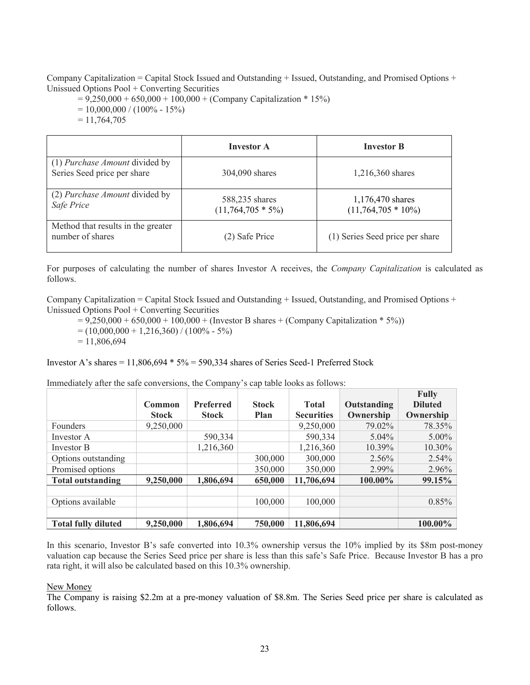Company Capitalization = Capital Stock Issued and Outstanding + Issued, Outstanding, and Promised Options + Unissued Options Pool + Converting Securities

 $= 9,250,000 + 650,000 + 100,000 + (Comparing Capitalization * 15%)$ 

 $= 10,000,000 / (100\% - 15\%)$ 

 $= 11,764,705$ 

|                                                               | <b>Investor A</b>                      | <b>Investor B</b>                         |
|---------------------------------------------------------------|----------------------------------------|-------------------------------------------|
| (1) Purchase Amount divided by<br>Series Seed price per share | 304,090 shares                         | 1,216,360 shares                          |
| (2) Purchase Amount divided by<br>Safe Price                  | 588,235 shares<br>$(11,764,705 * 5\%)$ | 1,176,470 shares<br>$(11,764,705 * 10\%)$ |
| Method that results in the greater<br>number of shares        | (2) Safe Price                         | (1) Series Seed price per share           |

For purposes of calculating the number of shares Investor A receives, the *Company Capitalization* is calculated as follows.

Company Capitalization = Capital Stock Issued and Outstanding + Issued, Outstanding, and Promised Options + Unissued Options Pool + Converting Securities

 $= 9,250,000 + 650,000 + 100,000 +$  (Investor B shares + (Company Capitalization \* 5%))  $= (10,000,000 + 1,216,360) / (100\% - 5\%)$ 

 $= 11,806,694$ 

Investor A's shares  $= 11,806,694 * 5\% = 590,334$  shares of Series Seed-1 Preferred Stock

|                            | Common       | <b>Preferred</b> | <b>Stock</b> | <b>Total</b>      | Outstanding | <b>Fully</b><br><b>Diluted</b> |
|----------------------------|--------------|------------------|--------------|-------------------|-------------|--------------------------------|
|                            | <b>Stock</b> | <b>Stock</b>     | <b>Plan</b>  | <b>Securities</b> | Ownership   | Ownership                      |
| Founders                   | 9,250,000    |                  |              | 9,250,000         | 79.02%      | 78.35%                         |
| Investor A                 |              | 590,334          |              | 590,334           | $5.04\%$    | 5.00%                          |
| Investor B                 |              | 1,216,360        |              | 1,216,360         | 10.39%      | 10.30%                         |
| Options outstanding        |              |                  | 300,000      | 300,000           | $2.56\%$    | 2.54%                          |
| Promised options           |              |                  | 350,000      | 350,000           | 2.99%       | 2.96%                          |
| <b>Total outstanding</b>   | 9,250,000    | 1,806,694        | 650,000      | 11,706,694        | 100.00%     | 99.15%                         |
|                            |              |                  |              |                   |             |                                |
| Options available          |              |                  | 100,000      | 100,000           |             | 0.85%                          |
|                            |              |                  |              |                   |             |                                |
| <b>Total fully diluted</b> | 9,250,000    | 1,806,694        | 750,000      | 11,806,694        |             | 100.00%                        |

Immediately after the safe conversions, the Company's cap table looks as follows:

In this scenario, Investor B's safe converted into 10.3% ownership versus the 10% implied by its \$8m post-money valuation cap because the Series Seed price per share is less than this safe's Safe Price. Because Investor B has a pro rata right, it will also be calculated based on this 10.3% ownership.

#### New Money

The Company is raising \$2.2m at a pre-money valuation of \$8.8m. The Series Seed price per share is calculated as follows.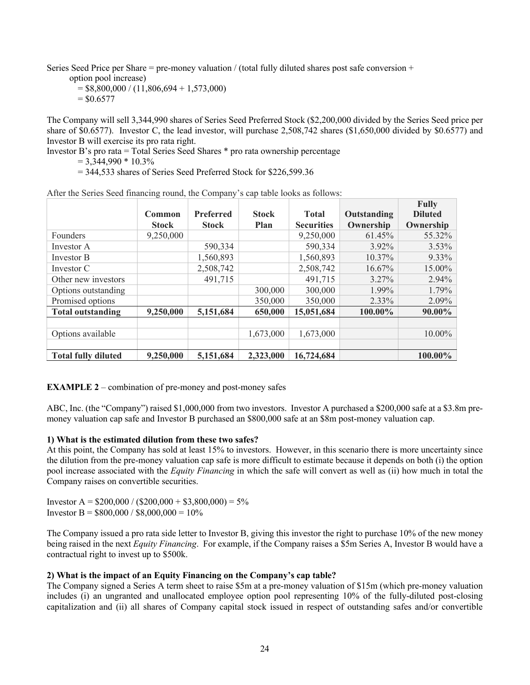Series Seed Price per Share = pre-money valuation / (total fully diluted shares post safe conversion +

option pool increase)

 $= $8,800,000 / (11,806,694 + 1,573,000)$ 

 $=$  \$0.6577

The Company will sell 3,344,990 shares of Series Seed Preferred Stock (\$2,200,000 divided by the Series Seed price per share of \$0.6577). Investor C, the lead investor, will purchase 2,508,742 shares (\$1,650,000 divided by \$0.6577) and Investor B will exercise its pro rata right.

Investor B's pro rata = Total Series Seed Shares \* pro rata ownership percentage

 $= 3,344,990 * 10.3%$ 

= 344,533 shares of Series Seed Preferred Stock for \$226,599.36

|                            |               |                  |              |                   |             | <b>Fully</b>   |
|----------------------------|---------------|------------------|--------------|-------------------|-------------|----------------|
|                            | <b>Common</b> | <b>Preferred</b> | <b>Stock</b> | <b>Total</b>      | Outstanding | <b>Diluted</b> |
|                            | <b>Stock</b>  | <b>Stock</b>     | <b>Plan</b>  | <b>Securities</b> | Ownership   | Ownership      |
| Founders                   | 9,250,000     |                  |              | 9,250,000         | 61.45%      | 55.32%         |
| Investor A                 |               | 590,334          |              | 590,334           | 3.92%       | $3.53\%$       |
| Investor B                 |               | 1,560,893        |              | 1,560,893         | 10.37%      | 9.33%          |
| Investor C                 |               | 2,508,742        |              | 2,508,742         | 16.67%      | 15.00%         |
| Other new investors        |               | 491,715          |              | 491,715           | $3.27\%$    | 2.94%          |
| Options outstanding        |               |                  | 300,000      | 300,000           | 1.99%       | 1.79%          |
| Promised options           |               |                  | 350,000      | 350,000           | $2.33\%$    | 2.09%          |
| <b>Total outstanding</b>   | 9,250,000     | 5,151,684        | 650,000      | 15,051,684        | 100.00%     | 90.00%         |
|                            |               |                  |              |                   |             |                |
| Options available          |               |                  | 1,673,000    | 1,673,000         |             | 10.00%         |
|                            |               |                  |              |                   |             |                |
| <b>Total fully diluted</b> | 9,250,000     | 5,151,684        | 2,323,000    | 16,724,684        |             | 100.00%        |

After the Series Seed financing round, the Company's cap table looks as follows:

**EXAMPLE 2** – combination of pre-money and post-money safes

ABC, Inc. (the "Company") raised \$1,000,000 from two investors. Investor A purchased a \$200,000 safe at a \$3.8m premoney valuation cap safe and Investor B purchased an \$800,000 safe at an \$8m post-money valuation cap.

# **1) What is the estimated dilution from these two safes?**

At this point, the Company has sold at least 15% to investors. However, in this scenario there is more uncertainty since the dilution from the pre-money valuation cap safe is more difficult to estimate because it depends on both (i) the option pool increase associated with the *Equity Financing* in which the safe will convert as well as (ii) how much in total the Company raises on convertible securities.

Investor A =  $$200,000 / ($200,000 + $3,800,000) = 5\%$ Investor B =  $$800,000 / $8,000,000 = 10\%$ 

The Company issued a pro rata side letter to Investor B, giving this investor the right to purchase 10% of the new money being raised in the next *Equity Financing*. For example, if the Company raises a \$5m Series A, Investor B would have a contractual right to invest up to \$500k.

# **2) What is the impact of an Equity Financing on the Company's cap table?**

The Company signed a Series A term sheet to raise \$5m at a pre-money valuation of \$15m (which pre-money valuation includes (i) an ungranted and unallocated employee option pool representing 10% of the fully-diluted post-closing capitalization and (ii) all shares of Company capital stock issued in respect of outstanding safes and/or convertible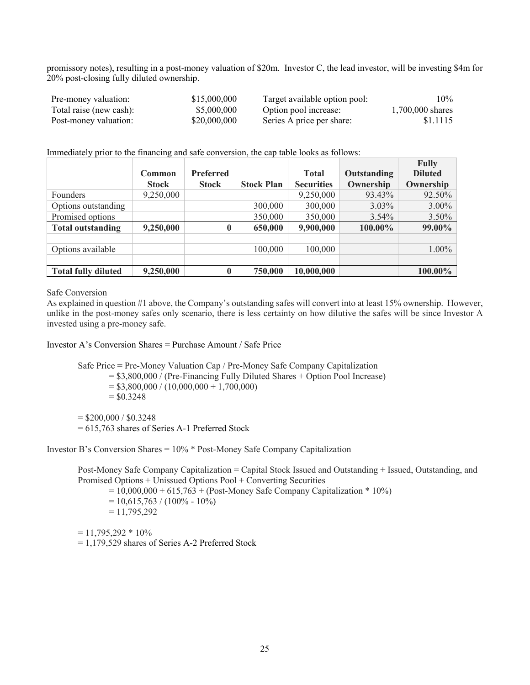promissory notes), resulting in a post-money valuation of \$20m. Investor C, the lead investor, will be investing \$4m for 20% post-closing fully diluted ownership.

| Pre-money valuation:    | \$15,000,000 | Target available option pool: | $10\%$           |
|-------------------------|--------------|-------------------------------|------------------|
| Total raise (new cash): | \$5,000,000  | Option pool increase:         | 1,700,000 shares |
| Post-money valuation:   | \$20,000,000 | Series A price per share:     | \$1.1115         |

Immediately prior to the financing and safe conversion, the cap table looks as follows:

|                            |              |                  |                   |                   |             | <b>Fully</b>   |
|----------------------------|--------------|------------------|-------------------|-------------------|-------------|----------------|
|                            | Common       | <b>Preferred</b> |                   | <b>Total</b>      | Outstanding | <b>Diluted</b> |
|                            | <b>Stock</b> | <b>Stock</b>     | <b>Stock Plan</b> | <b>Securities</b> | Ownership   | Ownership      |
| Founders                   | 9,250,000    |                  |                   | 9,250,000         | 93.43%      | 92.50%         |
| Options outstanding        |              |                  | 300,000           | 300,000           | $3.03\%$    | $3.00\%$       |
| Promised options           |              |                  | 350,000           | 350,000           | $3.54\%$    | 3.50%          |
| <b>Total outstanding</b>   | 9,250,000    |                  | 650,000           | 9,900,000         | 100.00%     | 99.00%         |
|                            |              |                  |                   |                   |             |                |
| Options available          |              |                  | 100,000           | 100,000           |             | $1.00\%$       |
|                            |              |                  |                   |                   |             |                |
| <b>Total fully diluted</b> | 9,250,000    |                  | 750,000           | 10,000,000        |             | $100.00\%$     |

#### Safe Conversion

As explained in question #1 above, the Company's outstanding safes will convert into at least 15% ownership. However, unlike in the post-money safes only scenario, there is less certainty on how dilutive the safes will be since Investor A invested using a pre-money safe.

Investor A's Conversion Shares = Purchase Amount / Safe Price

Safe Price **=** Pre-Money Valuation Cap / Pre-Money Safe Company Capitalization  $= $3,800,000$  / (Pre-Financing Fully Diluted Shares + Option Pool Increase)  $= $3,800,000 / (10,000,000 + 1,700,000)$  $= $0.3248$ 

 $=$  \$200,000 / \$0.3248 = 615,763 shares of Series A-1 Preferred Stock

Investor B's Conversion Shares = 10% \* Post-Money Safe Company Capitalization

Post-Money Safe Company Capitalization = Capital Stock Issued and Outstanding + Issued, Outstanding, and Promised Options + Unissued Options Pool + Converting Securities

 $= 10,000,000 + 615,763 + (Post-Money Safe Company Capitalization * 10%)$  $= 10,615,763 / (100\% - 10\%)$  $= 11,795,292$ 

 $= 11,795,292 * 10\%$ 

= 1,179,529 shares of Series A-2 Preferred Stock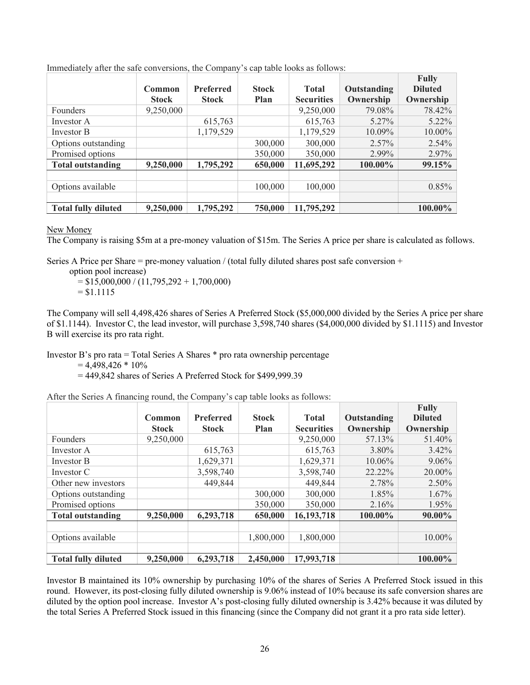|                            |              |                  |              |                   |             | <b>Fully</b>   |
|----------------------------|--------------|------------------|--------------|-------------------|-------------|----------------|
|                            | Common       | <b>Preferred</b> | <b>Stock</b> | <b>Total</b>      | Outstanding | <b>Diluted</b> |
|                            | <b>Stock</b> | <b>Stock</b>     | Plan         | <b>Securities</b> | Ownership   | Ownership      |
| <b>Founders</b>            | 9,250,000    |                  |              | 9,250,000         | 79.08%      | 78.42%         |
| Investor A                 |              | 615,763          |              | 615,763           | $5.27\%$    | 5.22%          |
| Investor B                 |              | 1,179,529        |              | 1,179,529         | 10.09%      | 10.00%         |
| Options outstanding        |              |                  | 300,000      | 300,000           | $2.57\%$    | 2.54%          |
| Promised options           |              |                  | 350,000      | 350,000           | 2.99%       | 2.97%          |
| <b>Total outstanding</b>   | 9,250,000    | 1,795,292        | 650,000      | 11,695,292        | 100.00%     | 99.15%         |
|                            |              |                  |              |                   |             |                |
| Options available          |              |                  | 100,000      | 100,000           |             | 0.85%          |
|                            |              |                  |              |                   |             |                |
| <b>Total fully diluted</b> | 9,250,000    | 1,795,292        | 750,000      | 11,795,292        |             | 100.00%        |

Immediately after the safe conversions, the Company's cap table looks as follows:

New Money

The Company is raising \$5m at a pre-money valuation of \$15m. The Series A price per share is calculated as follows.

Series A Price per Share = pre-money valuation  $/$  (total fully diluted shares post safe conversion +

option pool increase)

 $= $15,000,000 / (11,795,292 + 1,700,000)$  $= $1.1115$ 

The Company will sell 4,498,426 shares of Series A Preferred Stock (\$5,000,000 divided by the Series A price per share of \$1.1144). Investor C, the lead investor, will purchase 3,598,740 shares (\$4,000,000 divided by \$1.1115) and Investor B will exercise its pro rata right.

Investor B's pro rata = Total Series A Shares \* pro rata ownership percentage

 $= 4,498,426 * 10\%$ 

= 449,842 shares of Series A Preferred Stock for \$499,999.39

After the Series A financing round, the Company's cap table looks as follows:

|                            |              |              |              |                   |             | <b>Fully</b>   |
|----------------------------|--------------|--------------|--------------|-------------------|-------------|----------------|
|                            | Common       | Preferred    | <b>Stock</b> | <b>Total</b>      | Outstanding | <b>Diluted</b> |
|                            | <b>Stock</b> | <b>Stock</b> | <b>Plan</b>  | <b>Securities</b> | Ownership   | Ownership      |
| <b>Founders</b>            | 9,250,000    |              |              | 9,250,000         | 57.13%      | 51.40%         |
| Investor A                 |              | 615,763      |              | 615,763           | 3.80%       | $3.42\%$       |
| Investor B                 |              | 1,629,371    |              | 1,629,371         | 10.06%      | $9.06\%$       |
| Investor C                 |              | 3,598,740    |              | 3,598,740         | 22.22%      | 20.00%         |
| Other new investors        |              | 449,844      |              | 449,844           | 2.78%       | $2.50\%$       |
| Options outstanding        |              |              | 300,000      | 300,000           | 1.85%       | $1.67\%$       |
| Promised options           |              |              | 350,000      | 350,000           | 2.16%       | 1.95%          |
| <b>Total outstanding</b>   | 9,250,000    | 6,293,718    | 650,000      | 16, 193, 718      | 100.00%     | 90.00%         |
|                            |              |              |              |                   |             |                |
| Options available          |              |              | 1,800,000    | 1,800,000         |             | 10.00%         |
|                            |              |              |              |                   |             |                |
| <b>Total fully diluted</b> | 9,250,000    | 6,293,718    | 2,450,000    | 17,993,718        |             | 100.00%        |

Investor B maintained its 10% ownership by purchasing 10% of the shares of Series A Preferred Stock issued in this round. However, its post-closing fully diluted ownership is 9.06% instead of 10% because its safe conversion shares are diluted by the option pool increase. Investor A's post-closing fully diluted ownership is 3.42% because it was diluted by the total Series A Preferred Stock issued in this financing (since the Company did not grant it a pro rata side letter).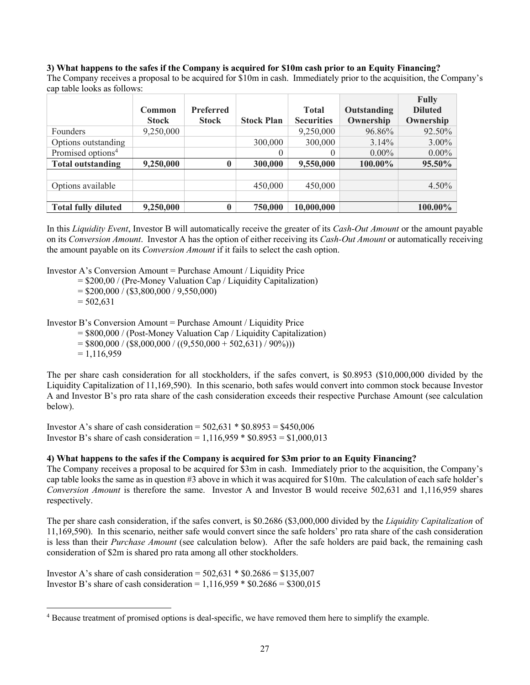#### **3) What happens to the safes if the Company is acquired for \$10m cash prior to an Equity Financing?**

The Company receives a proposal to be acquired for \$10m in cash. Immediately prior to the acquisition, the Company's cap table looks as follows:

|                               | Common<br><b>Stock</b> | Preferred<br><b>Stock</b> | <b>Stock Plan</b> | <b>Total</b><br><b>Securities</b> | Outstanding<br>Ownership | <b>Fully</b><br><b>Diluted</b><br>Ownership |
|-------------------------------|------------------------|---------------------------|-------------------|-----------------------------------|--------------------------|---------------------------------------------|
| Founders                      | 9,250,000              |                           |                   | 9,250,000                         | 96.86%                   | 92.50%                                      |
| Options outstanding           |                        |                           | 300,000           | 300,000                           | $3.14\%$                 | $3.00\%$                                    |
| Promised options <sup>4</sup> |                        |                           |                   | 0                                 | $0.00\%$                 | $0.00\%$                                    |
| <b>Total outstanding</b>      | 9,250,000              |                           | 300,000           | 9,550,000                         | $100.00\%$               | 95.50%                                      |
|                               |                        |                           |                   |                                   |                          |                                             |
| Options available             |                        |                           | 450,000           | 450,000                           |                          | $4.50\%$                                    |
|                               |                        |                           |                   |                                   |                          |                                             |
| <b>Total fully diluted</b>    | 9,250,000              |                           | 750,000           | 10,000,000                        |                          | 100.00%                                     |

In this *Liquidity Event*, Investor B will automatically receive the greater of its *Cash-Out Amount* or the amount payable on its *Conversion Amount*. Investor A has the option of either receiving its *Cash-Out Amount* or automatically receiving the amount payable on its *Conversion Amount* if it fails to select the cash option.

Investor A's Conversion Amount = Purchase Amount / Liquidity Price

- = \$200,00 / (Pre-Money Valuation Cap / Liquidity Capitalization)
- $=$  \$200,000 / (\$3,800,000 / 9,550,000)

 $= 502,631$ 

Investor B's Conversion Amount = Purchase Amount / Liquidity Price

- = \$800,000 / (Post-Money Valuation Cap / Liquidity Capitalization)
- $=$  \$800,000 / (\$8,000,000 / ((9,550,000 + 502,631) / 90%)))

 $= 1.116,959$ 

The per share cash consideration for all stockholders, if the safes convert, is \$0.8953 (\$10,000,000 divided by the Liquidity Capitalization of 11,169,590). In this scenario, both safes would convert into common stock because Investor A and Investor B's pro rata share of the cash consideration exceeds their respective Purchase Amount (see calculation below).

Investor A's share of cash consideration =  $502.631 * $0.8953 = $450.006$ Investor B's share of cash consideration =  $1,116,959$  \* \$0.8953 = \$1,000,013

#### **4) What happens to the safes if the Company is acquired for \$3m prior to an Equity Financing?**

The Company receives a proposal to be acquired for \$3m in cash. Immediately prior to the acquisition, the Company's cap table looks the same as in question #3 above in which it was acquired for \$10m. The calculation of each safe holder's *Conversion Amount* is therefore the same. Investor A and Investor B would receive 502,631 and 1,116,959 shares respectively.

The per share cash consideration, if the safes convert, is \$0.2686 (\$3,000,000 divided by the *Liquidity Capitalization* of 11,169,590). In this scenario, neither safe would convert since the safe holders' pro rata share of the cash consideration is less than their *Purchase Amount* (see calculation below). After the safe holders are paid back, the remaining cash consideration of \$2m is shared pro rata among all other stockholders.

Investor A's share of cash consideration =  $502,631 * $0.2686 = $135,007$ Investor B's share of cash consideration =  $1,116,959$  \* \$0.2686 = \$300,015

<sup>&</sup>lt;sup>4</sup> Because treatment of promised options is deal-specific, we have removed them here to simplify the example.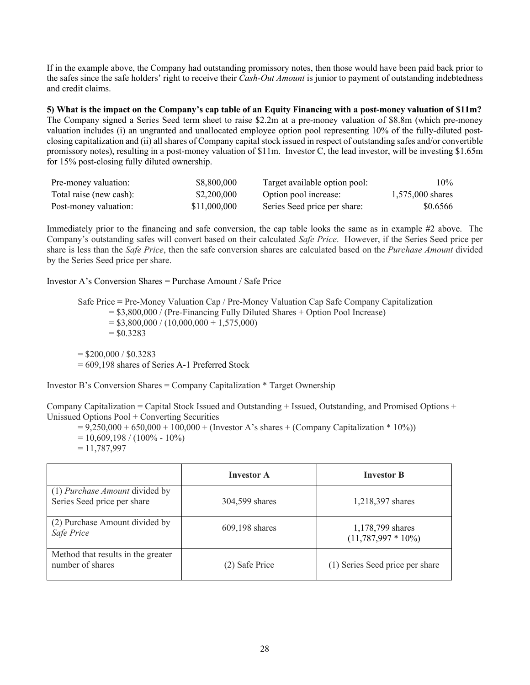If in the example above, the Company had outstanding promissory notes, then those would have been paid back prior to the safes since the safe holders' right to receive their *Cash-Out Amount* is junior to payment of outstanding indebtedness and credit claims.

**5) What is the impact on the Company's cap table of an Equity Financing with a post-money valuation of \$11m?** The Company signed a Series Seed term sheet to raise \$2.2m at a pre-money valuation of \$8.8m (which pre-money valuation includes (i) an ungranted and unallocated employee option pool representing 10% of the fully-diluted postclosing capitalization and (ii) all shares of Company capital stock issued in respect of outstanding safes and/or convertible promissory notes), resulting in a post-money valuation of \$11m. Investor C, the lead investor, will be investing \$1.65m for 15% post-closing fully diluted ownership.

| Pre-money valuation:    | \$8,800,000  | Target available option pool: | 10%              |
|-------------------------|--------------|-------------------------------|------------------|
| Total raise (new cash): | \$2,200,000  | Option pool increase:         | 1,575,000 shares |
| Post-money valuation:   | \$11,000,000 | Series Seed price per share:  | \$0.6566         |

Immediately prior to the financing and safe conversion, the cap table looks the same as in example #2 above. The Company's outstanding safes will convert based on their calculated *Safe Price*. However, if the Series Seed price per share is less than the *Safe Price*, then the safe conversion shares are calculated based on the *Purchase Amount* divided by the Series Seed price per share.

Investor A's Conversion Shares = Purchase Amount / Safe Price

Safe Price **=** Pre-Money Valuation Cap / Pre-Money Valuation Cap Safe Company Capitalization = \$3,800,000 / (Pre-Financing Fully Diluted Shares + Option Pool Increase)  $= $3,800,000 / (10,000,000 + 1,575,000)$  $= $0.3283$ 

 $=$  \$200,000 / \$0.3283

= 609,198 shares of Series A-1 Preferred Stock

Investor B's Conversion Shares = Company Capitalization \* Target Ownership

Company Capitalization = Capital Stock Issued and Outstanding + Issued, Outstanding, and Promised Options + Unissued Options Pool + Converting Securities

- $= 9,250,000 + 650,000 + 100,000 +$  (Investor A's shares + (Company Capitalization \* 10%))
- $= 10,609,198 / (100\% 10\%)$
- $= 11,787,997$

|                                                               | <b>Investor A</b> | <b>Investor B</b>                         |
|---------------------------------------------------------------|-------------------|-------------------------------------------|
| (1) Purchase Amount divided by<br>Series Seed price per share | 304,599 shares    | 1,218,397 shares                          |
| (2) Purchase Amount divided by<br>Safe Price                  | 609,198 shares    | 1,178,799 shares<br>$(11,787,997 * 10\%)$ |
| Method that results in the greater<br>number of shares        | (2) Safe Price    | (1) Series Seed price per share           |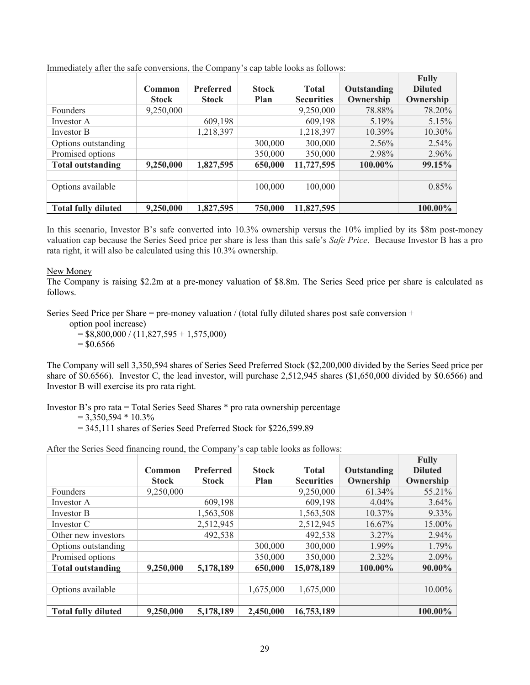|                            |              |                  |              |                   |                    | <b>Fully</b>   |
|----------------------------|--------------|------------------|--------------|-------------------|--------------------|----------------|
|                            | Common       | <b>Preferred</b> | <b>Stock</b> | <b>Total</b>      | <b>Outstanding</b> | <b>Diluted</b> |
|                            | <b>Stock</b> | <b>Stock</b>     | Plan         | <b>Securities</b> | Ownership          | Ownership      |
| Founders                   | 9,250,000    |                  |              | 9,250,000         | 78.88%             | 78.20%         |
| Investor A                 |              | 609,198          |              | 609,198           | 5.19%              | 5.15%          |
| Investor B                 |              | 1,218,397        |              | 1,218,397         | 10.39%             | 10.30%         |
| Options outstanding        |              |                  | 300,000      | 300,000           | $2.56\%$           | 2.54%          |
| Promised options           |              |                  | 350,000      | 350,000           | 2.98%              | 2.96%          |
| <b>Total outstanding</b>   | 9,250,000    | 1,827,595        | 650,000      | 11,727,595        | 100.00%            | 99.15%         |
|                            |              |                  |              |                   |                    |                |
| Options available          |              |                  | 100,000      | 100,000           |                    | 0.85%          |
|                            |              |                  |              |                   |                    |                |
| <b>Total fully diluted</b> | 9,250,000    | 1,827,595        | 750,000      | 11,827,595        |                    | $100.00\%$     |

Immediately after the safe conversions, the Company's cap table looks as follows:

In this scenario, Investor B's safe converted into 10.3% ownership versus the 10% implied by its \$8m post-money valuation cap because the Series Seed price per share is less than this safe's *Safe Price*. Because Investor B has a pro rata right, it will also be calculated using this 10.3% ownership.

#### New Money

The Company is raising \$2.2m at a pre-money valuation of \$8.8m. The Series Seed price per share is calculated as follows.

Series Seed Price per Share = pre-money valuation / (total fully diluted shares post safe conversion +

option pool increase)

 $=$  \$8,800,000 / (11,827,595 + 1,575,000)  $= $0.6566$ 

The Company will sell 3,350,594 shares of Series Seed Preferred Stock (\$2,200,000 divided by the Series Seed price per share of \$0.6566). Investor C, the lead investor, will purchase 2,512,945 shares (\$1,650,000 divided by \$0.6566) and Investor B will exercise its pro rata right.

Investor B's pro rata = Total Series Seed Shares \* pro rata ownership percentage

 $= 3,350,594 * 10.3%$ 

= 345,111 shares of Series Seed Preferred Stock for \$226,599.89

After the Series Seed financing round, the Company's cap table looks as follows:

|                            |               |              |              |                   |             | <b>Fully</b>   |
|----------------------------|---------------|--------------|--------------|-------------------|-------------|----------------|
|                            | <b>Common</b> | Preferred    | <b>Stock</b> | <b>Total</b>      | Outstanding | <b>Diluted</b> |
|                            | <b>Stock</b>  | <b>Stock</b> | Plan         | <b>Securities</b> | Ownership   | Ownership      |
| Founders                   | 9,250,000     |              |              | 9,250,000         | 61.34%      | 55.21%         |
| Investor A                 |               | 609,198      |              | 609,198           | $4.04\%$    | 3.64%          |
| Investor B                 |               | 1,563,508    |              | 1,563,508         | 10.37%      | 9.33%          |
| Investor C                 |               | 2,512,945    |              | 2,512,945         | 16.67%      | 15.00%         |
| Other new investors        |               | 492,538      |              | 492,538           | 3.27%       | 2.94%          |
| Options outstanding        |               |              | 300,000      | 300,000           | 1.99%       | 1.79%          |
| Promised options           |               |              | 350,000      | 350,000           | $2.32\%$    | 2.09%          |
| <b>Total outstanding</b>   | 9,250,000     | 5,178,189    | 650,000      | 15,078,189        | 100.00%     | 90.00%         |
|                            |               |              |              |                   |             |                |
| Options available          |               |              | 1,675,000    | 1,675,000         |             | 10.00%         |
|                            |               |              |              |                   |             |                |
| <b>Total fully diluted</b> | 9,250,000     | 5,178,189    | 2,450,000    | 16,753,189        |             | 100.00%        |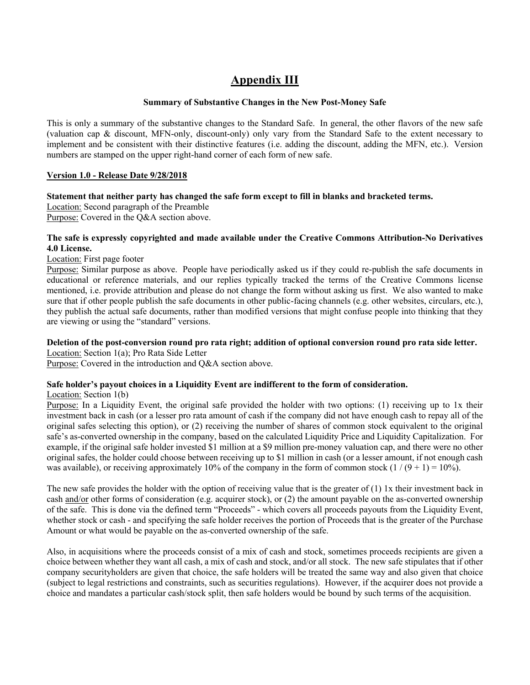# **Appendix III**

#### **Summary of Substantive Changes in the New Post-Money Safe**

This is only a summary of the substantive changes to the Standard Safe. In general, the other flavors of the new safe (valuation cap & discount, MFN-only, discount-only) only vary from the Standard Safe to the extent necessary to implement and be consistent with their distinctive features (i.e. adding the discount, adding the MFN, etc.). Version numbers are stamped on the upper right-hand corner of each form of new safe.

# **Version 1.0 - Release Date 9/28/2018**

#### **Statement that neither party has changed the safe form except to fill in blanks and bracketed terms.**

Location: Second paragraph of the Preamble Purpose: Covered in the Q&A section above.

#### **The safe is expressly copyrighted and made available under the Creative Commons Attribution-No Derivatives 4.0 License.**

Location: First page footer

Purpose: Similar purpose as above. People have periodically asked us if they could re-publish the safe documents in educational or reference materials, and our replies typically tracked the terms of the Creative Commons license mentioned, i.e. provide attribution and please do not change the form without asking us first. We also wanted to make sure that if other people publish the safe documents in other public-facing channels (e.g. other websites, circulars, etc.), they publish the actual safe documents, rather than modified versions that might confuse people into thinking that they are viewing or using the "standard" versions.

# **Deletion of the post-conversion round pro rata right; addition of optional conversion round pro rata side letter.**

Location: Section 1(a); Pro Rata Side Letter

Purpose: Covered in the introduction and Q&A section above.

#### **Safe holder's payout choices in a Liquidity Event are indifferent to the form of consideration.**

Location: Section 1(b)

Purpose: In a Liquidity Event, the original safe provided the holder with two options: (1) receiving up to 1x their investment back in cash (or a lesser pro rata amount of cash if the company did not have enough cash to repay all of the original safes selecting this option), or (2) receiving the number of shares of common stock equivalent to the original safe's as-converted ownership in the company, based on the calculated Liquidity Price and Liquidity Capitalization. For example, if the original safe holder invested \$1 million at a \$9 million pre-money valuation cap, and there were no other original safes, the holder could choose between receiving up to \$1 million in cash (or a lesser amount, if not enough cash was available), or receiving approximately 10% of the company in the form of common stock  $(1/(9+1)) = 10$ %).

The new safe provides the holder with the option of receiving value that is the greater of  $(1)$  1x their investment back in cash and/or other forms of consideration (e.g. acquirer stock), or (2) the amount payable on the as-converted ownership of the safe. This is done via the defined term "Proceeds" - which covers all proceeds payouts from the Liquidity Event, whether stock or cash - and specifying the safe holder receives the portion of Proceeds that is the greater of the Purchase Amount or what would be payable on the as-converted ownership of the safe.

Also, in acquisitions where the proceeds consist of a mix of cash and stock, sometimes proceeds recipients are given a choice between whether they want all cash, a mix of cash and stock, and/or all stock. The new safe stipulates that if other company securityholders are given that choice, the safe holders will be treated the same way and also given that choice (subject to legal restrictions and constraints, such as securities regulations). However, if the acquirer does not provide a choice and mandates a particular cash/stock split, then safe holders would be bound by such terms of the acquisition.